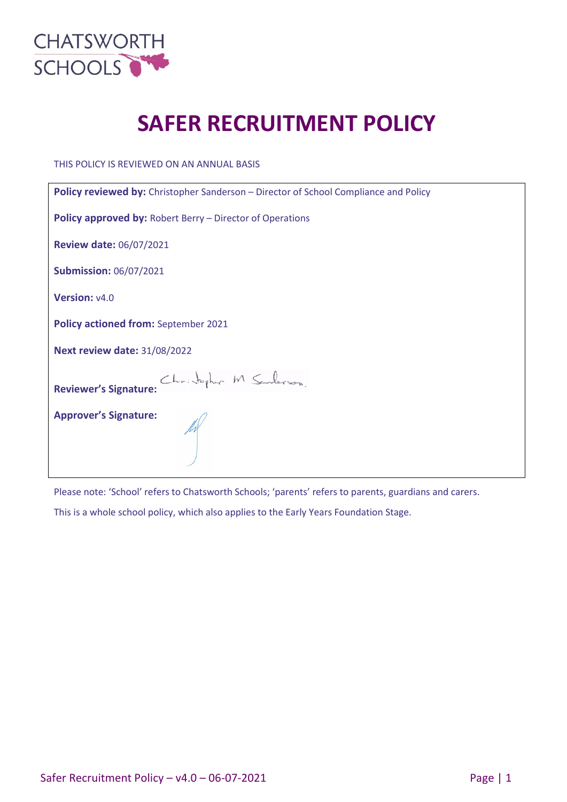

# **SAFER RECRUITMENT POLICY**

THIS POLICY IS REVIEWED ON AN ANNUAL BASIS

| Policy reviewed by: Christopher Sanderson - Director of School Compliance and Policy |  |  |  |
|--------------------------------------------------------------------------------------|--|--|--|
| <b>Policy approved by: Robert Berry - Director of Operations</b>                     |  |  |  |
| <b>Review date: 06/07/2021</b>                                                       |  |  |  |
| <b>Submission: 06/07/2021</b>                                                        |  |  |  |
| Version: v4.0                                                                        |  |  |  |
| Policy actioned from: September 2021                                                 |  |  |  |
| <b>Next review date: 31/08/2022</b>                                                  |  |  |  |
| Christopher M Sanderson.<br><b>Reviewer's Signature:</b>                             |  |  |  |
| <b>Approver's Signature:</b>                                                         |  |  |  |

Please note: 'School' refers to Chatsworth Schools; 'parents' refers to parents, guardians and carers.

This is a whole school policy, which also applies to the Early Years Foundation Stage.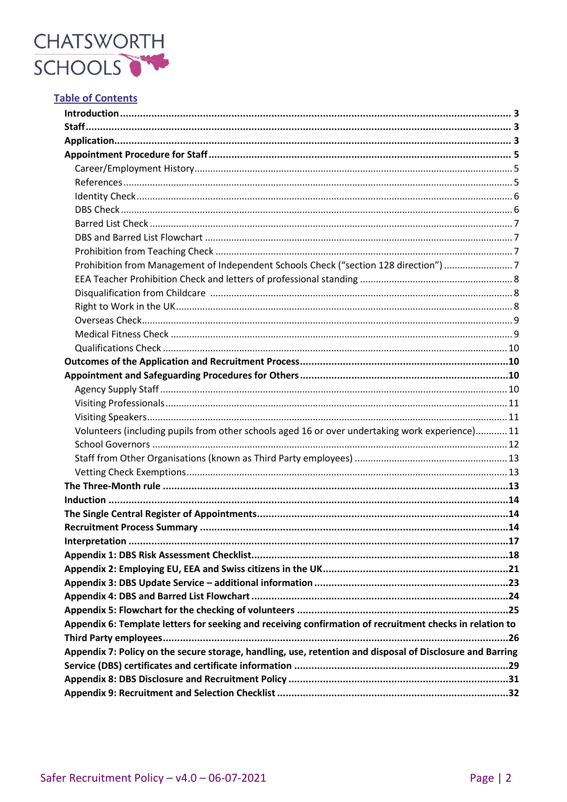

# **Table of Contents**

| Prohibition from Management of Independent Schools Check ("section 128 direction") 7                      |  |
|-----------------------------------------------------------------------------------------------------------|--|
|                                                                                                           |  |
|                                                                                                           |  |
|                                                                                                           |  |
|                                                                                                           |  |
|                                                                                                           |  |
|                                                                                                           |  |
|                                                                                                           |  |
|                                                                                                           |  |
|                                                                                                           |  |
|                                                                                                           |  |
|                                                                                                           |  |
| Volunteers (including pupils from other schools aged 16 or over undertaking work experience) 11           |  |
|                                                                                                           |  |
|                                                                                                           |  |
|                                                                                                           |  |
|                                                                                                           |  |
|                                                                                                           |  |
|                                                                                                           |  |
|                                                                                                           |  |
|                                                                                                           |  |
|                                                                                                           |  |
|                                                                                                           |  |
|                                                                                                           |  |
|                                                                                                           |  |
|                                                                                                           |  |
| Appendix 6: Template letters for seeking and receiving confirmation of recruitment checks in relation to  |  |
|                                                                                                           |  |
| Appendix 7: Policy on the secure storage, handling, use, retention and disposal of Disclosure and Barring |  |
|                                                                                                           |  |
|                                                                                                           |  |
|                                                                                                           |  |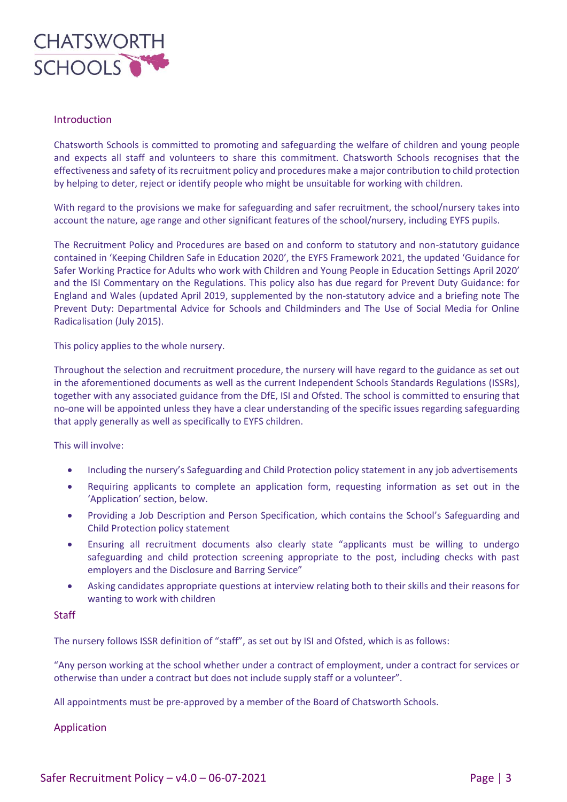

### Introduction

Chatsworth Schools is committed to promoting and safeguarding the welfare of children and young people and expects all staff and volunteers to share this commitment. Chatsworth Schools recognises that the effectiveness and safety of its recruitment policy and procedures make a major contribution to child protection by helping to deter, reject or identify people who might be unsuitable for working with children.

With regard to the provisions we make for safeguarding and safer recruitment, the school/nursery takes into account the nature, age range and other significant features of the school/nursery, including EYFS pupils.

The Recruitment Policy and Procedures are based on and conform to statutory and non-statutory guidance contained in 'Keeping Children Safe in Education 2020', the EYFS Framework 2021, the updated 'Guidance for Safer Working Practice for Adults who work with Children and Young People in Education Settings April 2020' and the ISI Commentary on the Regulations. This policy also has due regard for Prevent Duty Guidance: for England and Wales (updated April 2019, supplemented by the non-statutory advice and a briefing note The Prevent Duty: Departmental Advice for Schools and Childminders and The Use of Social Media for Online Radicalisation (July 2015).

This policy applies to the whole nursery.

Throughout the selection and recruitment procedure, the nursery will have regard to the guidance as set out in the aforementioned documents as well as the current Independent Schools Standards Regulations (ISSRs), together with any associated guidance from the DfE, ISI and Ofsted. The school is committed to ensuring that no-one will be appointed unless they have a clear understanding of the specific issues regarding safeguarding that apply generally as well as specifically to EYFS children.

This will involve:

- Including the nursery's Safeguarding and Child Protection policy statement in any job advertisements
- Requiring applicants to complete an application form, requesting information as set out in the 'Application' section, below.
- Providing a Job Description and Person Specification, which contains the School's Safeguarding and Child Protection policy statement
- Ensuring all recruitment documents also clearly state "applicants must be willing to undergo safeguarding and child protection screening appropriate to the post, including checks with past employers and the Disclosure and Barring Service"
- Asking candidates appropriate questions at interview relating both to their skills and their reasons for wanting to work with children

#### **Staff**

The nursery follows ISSR definition of "staff", as set out by ISI and Ofsted, which is as follows:

"Any person working at the school whether under a contract of employment, under a contract for services or otherwise than under a contract but does not include supply staff or a volunteer".

All appointments must be pre-approved by a member of the Board of Chatsworth Schools.

Application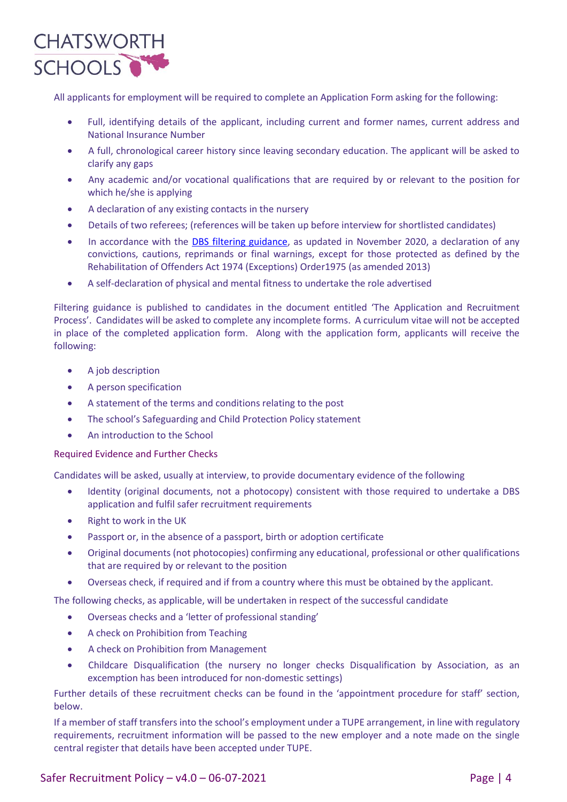

All applicants for employment will be required to complete an Application Form asking for the following:

- Full, identifying details of the applicant, including current and former names, current address and National Insurance Number
- A full, chronological career history since leaving secondary education. The applicant will be asked to clarify any gaps
- Any academic and/or vocational qualifications that are required by or relevant to the position for which he/she is applying
- A declaration of any existing contacts in the nursery
- Details of two referees; (references will be taken up before interview for shortlisted candidates)
- In accordance with the [DBS filtering guidance,](https://www.gov.uk/government/publications/dbs-filtering-guidance/dbs-filtering-guide) as updated in November 2020, a declaration of any convictions, cautions, reprimands or final warnings, except for those protected as defined by the Rehabilitation of Offenders Act 1974 (Exceptions) Order1975 (as amended 2013)
- A self-declaration of physical and mental fitness to undertake the role advertised

Filtering guidance is published to candidates in the document entitled 'The Application and Recruitment Process'. Candidates will be asked to complete any incomplete forms. A curriculum vitae will not be accepted in place of the completed application form. Along with the application form, applicants will receive the following:

- A job description
- A person specification
- A statement of the terms and conditions relating to the post
- The school's Safeguarding and Child Protection Policy statement
- An introduction to the School

#### Required Evidence and Further Checks

Candidates will be asked, usually at interview, to provide documentary evidence of the following

- Identity (original documents, not a photocopy) consistent with those required to undertake a DBS application and fulfil safer recruitment requirements
- Right to work in the UK
- Passport or, in the absence of a passport, birth or adoption certificate
- Original documents (not photocopies) confirming any educational, professional or other qualifications that are required by or relevant to the position
- Overseas check, if required and if from a country where this must be obtained by the applicant.

The following checks, as applicable, will be undertaken in respect of the successful candidate

- Overseas checks and a 'letter of professional standing'
- A check on Prohibition from Teaching
- A check on Prohibition from Management
- Childcare Disqualification (the nursery no longer checks Disqualification by Association, as an excemption has been introduced for non-domestic settings)

Further details of these recruitment checks can be found in the 'appointment procedure for staff' section, below.

If a member of staff transfers into the school's employment under a TUPE arrangement, in line with regulatory requirements, recruitment information will be passed to the new employer and a note made on the single central register that details have been accepted under TUPE.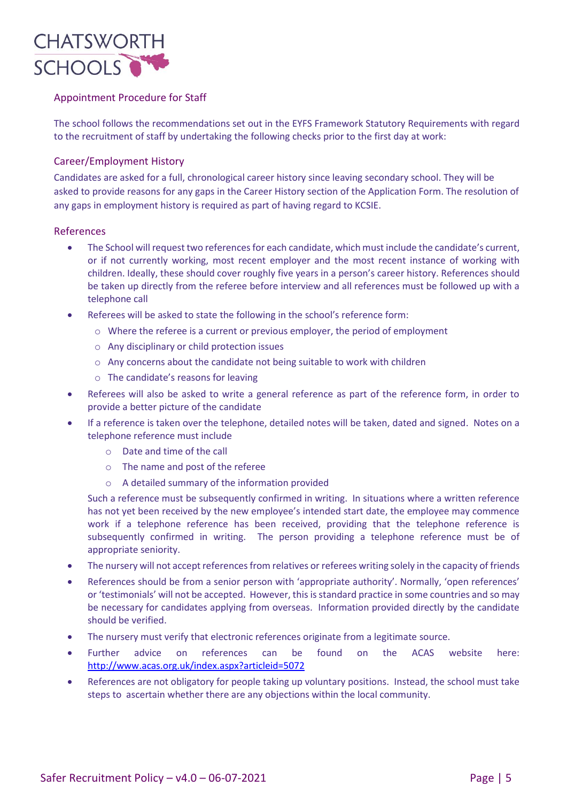

# Appointment Procedure for Staff

The school follows the recommendations set out in the EYFS Framework Statutory Requirements with regard to the recruitment of staff by undertaking the following checks prior to the first day at work:

# Career/Employment History

Candidates are asked for a full, chronological career history since leaving secondary school. They will be asked to provide reasons for any gaps in the Career History section of the Application Form. The resolution of any gaps in employment history is required as part of having regard to KCSIE.

#### References

- The School will request two references for each candidate, which must include the candidate's current, or if not currently working, most recent employer and the most recent instance of working with children. Ideally, these should cover roughly five years in a person's career history. References should be taken up directly from the referee before interview and all references must be followed up with a telephone call
- Referees will be asked to state the following in the school's reference form:
	- $\circ$  Where the referee is a current or previous employer, the period of employment
	- o Any disciplinary or child protection issues
	- o Any concerns about the candidate not being suitable to work with children
	- o The candidate's reasons for leaving
- Referees will also be asked to write a general reference as part of the reference form, in order to provide a better picture of the candidate
- If a reference is taken over the telephone, detailed notes will be taken, dated and signed. Notes on a telephone reference must include
	- o Date and time of the call
	- o The name and post of the referee
	- o A detailed summary of the information provided

Such a reference must be subsequently confirmed in writing. In situations where a written reference has not yet been received by the new employee's intended start date, the employee may commence work if a telephone reference has been received, providing that the telephone reference is subsequently confirmed in writing. The person providing a telephone reference must be of appropriate seniority.

- The nursery will not accept references from relatives or referees writing solely in the capacity of friends
- References should be from a senior person with 'appropriate authority'. Normally, 'open references' or 'testimonials' will not be accepted. However, this is standard practice in some countries and so may be necessary for candidates applying from overseas. Information provided directly by the candidate should be verified.
- The nursery must verify that electronic references originate from a legitimate source.
- Further advice on references can be found on the ACAS website here: <http://www.acas.org.uk/index.aspx?articleid=5072>
- References are not obligatory for people taking up voluntary positions. Instead, the school must take steps to ascertain whether there are any objections within the local community.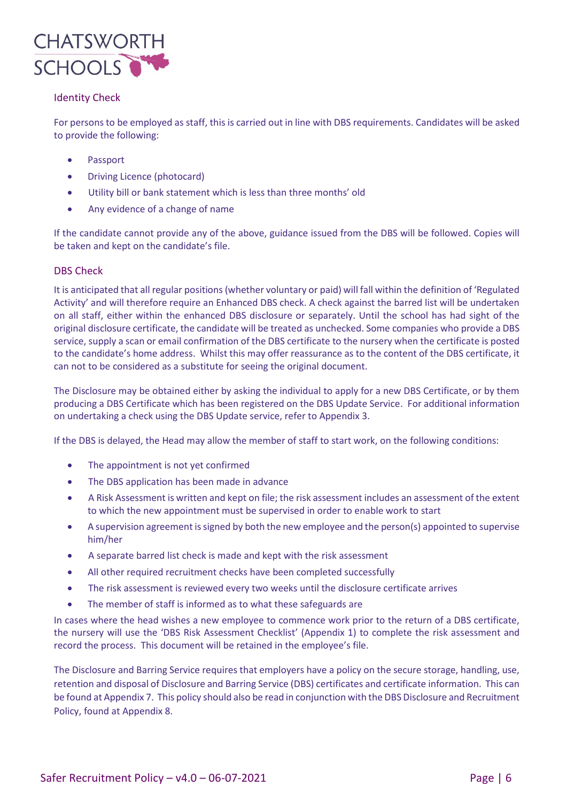

# Identity Check

For persons to be employed as staff, this is carried out in line with DBS requirements. Candidates will be asked to provide the following:

- Passport
- Driving Licence (photocard)
- Utility bill or bank statement which is less than three months' old
- Any evidence of a change of name

If the candidate cannot provide any of the above, guidance issued from the DBS will be followed. Copies will be taken and kept on the candidate's file.

# DBS Check

It is anticipated that all regular positions (whether voluntary or paid) will fall within the definition of 'Regulated Activity' and will therefore require an Enhanced DBS check. A check against the barred list will be undertaken on all staff, either within the enhanced DBS disclosure or separately. Until the school has had sight of the original disclosure certificate, the candidate will be treated as unchecked. Some companies who provide a DBS service, supply a scan or email confirmation of the DBS certificate to the nursery when the certificate is posted to the candidate's home address. Whilst this may offer reassurance as to the content of the DBS certificate, it can not to be considered as a substitute for seeing the original document.

The Disclosure may be obtained either by asking the individual to apply for a new DBS Certificate, or by them producing a DBS Certificate which has been registered on the DBS Update Service. For additional information on undertaking a check using the DBS Update service, refer to Appendix 3.

If the DBS is delayed, the Head may allow the member of staff to start work, on the following conditions:

- The appointment is not yet confirmed
- The DBS application has been made in advance
- A Risk Assessment is written and kept on file; the risk assessment includes an assessment of the extent to which the new appointment must be supervised in order to enable work to start
- A supervision agreement is signed by both the new employee and the person(s) appointed to supervise him/her
- A separate barred list check is made and kept with the risk assessment
- All other required recruitment checks have been completed successfully
- The risk assessment is reviewed every two weeks until the disclosure certificate arrives
- The member of staff is informed as to what these safeguards are

In cases where the head wishes a new employee to commence work prior to the return of a DBS certificate, the nursery will use the 'DBS Risk Assessment Checklist' (Appendix 1) to complete the risk assessment and record the process. This document will be retained in the employee's file.

The Disclosure and Barring Service requires that employers have a policy on the secure storage, handling, use, retention and disposal of Disclosure and Barring Service (DBS) certificates and certificate information. This can be found at Appendix 7. This policy should also be read in conjunction with the DBS Disclosure and Recruitment Policy, found at Appendix 8.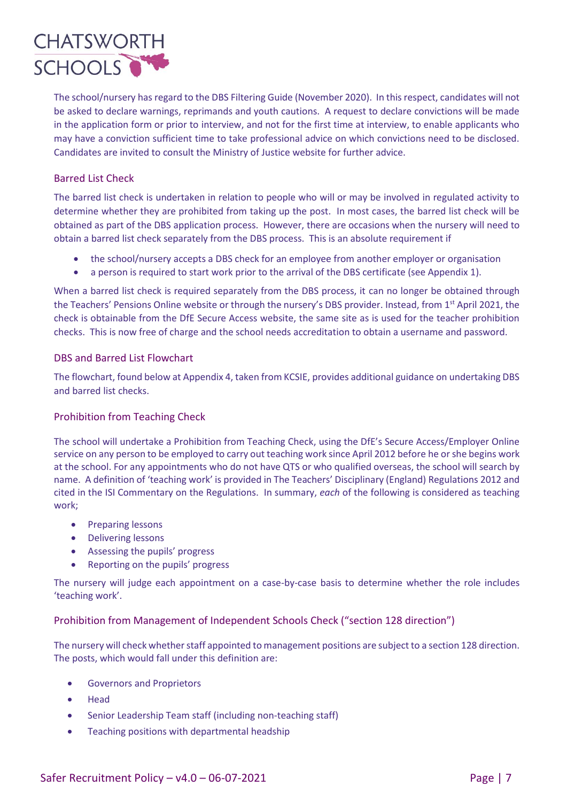

The school/nursery has regard to the DBS Filtering Guide (November 2020). In this respect, candidates will not be asked to declare warnings, reprimands and youth cautions. A request to declare convictions will be made in the application form or prior to interview, and not for the first time at interview, to enable applicants who may have a conviction sufficient time to take professional advice on which convictions need to be disclosed. Candidates are invited to consult the Ministry of Justice website for further advice.

# Barred List Check

The barred list check is undertaken in relation to people who will or may be involved in regulated activity to determine whether they are prohibited from taking up the post. In most cases, the barred list check will be obtained as part of the DBS application process. However, there are occasions when the nursery will need to obtain a barred list check separately from the DBS process. This is an absolute requirement if

- the school/nursery accepts a DBS check for an employee from another employer or organisation
- a person is required to start work prior to the arrival of the DBS certificate (see Appendix 1).

When a barred list check is required separately from the DBS process, it can no longer be obtained through the Teachers' Pensions Online website or through the nursery's DBS provider. Instead, from 1<sup>st</sup> April 2021, the check is obtainable from the DfE Secure Access website, the same site as is used for the teacher prohibition checks. This is now free of charge and the school needs accreditation to obtain a username and password.

# DBS and Barred List Flowchart

The flowchart, found below at Appendix 4, taken from KCSIE, provides additional guidance on undertaking DBS and barred list checks.

# Prohibition from Teaching Check

The school will undertake a Prohibition from Teaching Check, using the DfE's Secure Access/Employer Online service on any person to be employed to carry out teaching work since April 2012 before he or she begins work at the school. For any appointments who do not have QTS or who qualified overseas, the school will search by name. A definition of 'teaching work' is provided in The Teachers' Disciplinary (England) Regulations 2012 and cited in the ISI Commentary on the Regulations. In summary, *each* of the following is considered as teaching work;

- Preparing lessons
- Delivering lessons
- Assessing the pupils' progress
- Reporting on the pupils' progress

The nursery will judge each appointment on a case-by-case basis to determine whether the role includes 'teaching work'.

# Prohibition from Management of Independent Schools Check ("section 128 direction")

The nursery will check whether staff appointed to management positions are subject to a section 128 direction. The posts, which would fall under this definition are:

- Governors and Proprietors
- Head
- Senior Leadership Team staff (including non-teaching staff)
- Teaching positions with departmental headship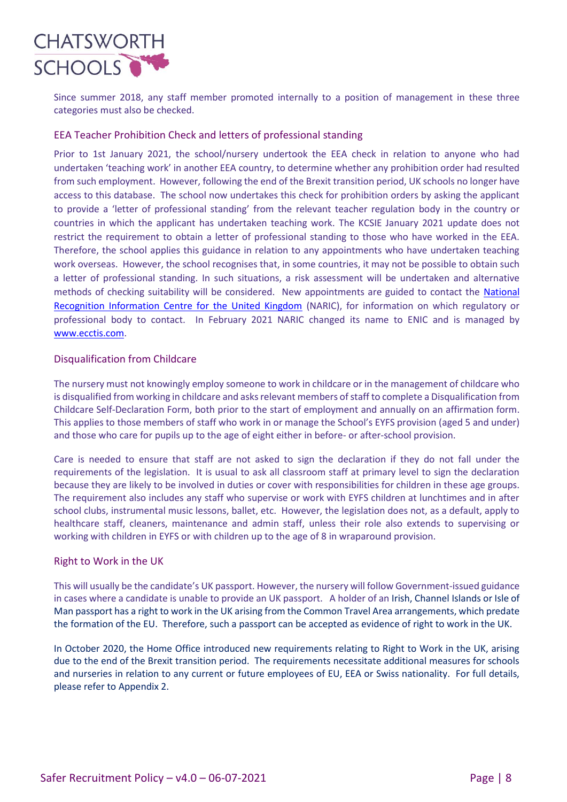

Since summer 2018, any staff member promoted internally to a position of management in these three categories must also be checked.

# EEA Teacher Prohibition Check and letters of professional standing

Prior to 1st January 2021, the school/nursery undertook the EEA check in relation to anyone who had undertaken 'teaching work' in another EEA country, to determine whether any prohibition order had resulted from such employment. However, following the end of the Brexit transition period, UK schools no longer have access to this database. The school now undertakes this check for prohibition orders by asking the applicant to provide a 'letter of professional standing' from the relevant teacher regulation body in the country or countries in which the applicant has undertaken teaching work. The KCSIE January 2021 update does not restrict the requirement to obtain a letter of professional standing to those who have worked in the EEA. Therefore, the school applies this guidance in relation to any appointments who have undertaken teaching work overseas. However, the school recognises that, in some countries, it may not be possible to obtain such a letter of professional standing. In such situations, a risk assessment will be undertaken and alternative methods of checking suitability will be considered. New appointments are guided to contact the [National](https://www.naric.org.uk/)  [Recognition Information Centre for the United Kingdom](https://www.naric.org.uk/) (NARIC), for information on which regulatory or professional body to contact. In February 2021 NARIC changed its name to ENIC and is managed by [www.ecctis.com.](http://www.ecctis.com/)

#### Disqualification from Childcare

The nursery must not knowingly employ someone to work in childcare or in the management of childcare who is disqualified from working in childcare and asksrelevant members of staff to complete a Disqualification from Childcare Self-Declaration Form, both prior to the start of employment and annually on an affirmation form. This applies to those members of staff who work in or manage the School's EYFS provision (aged 5 and under) and those who care for pupils up to the age of eight either in before- or after-school provision.

Care is needed to ensure that staff are not asked to sign the declaration if they do not fall under the requirements of the legislation. It is usual to ask all classroom staff at primary level to sign the declaration because they are likely to be involved in duties or cover with responsibilities for children in these age groups. The requirement also includes any staff who supervise or work with EYFS children at lunchtimes and in after school clubs, instrumental music lessons, ballet, etc. However, the legislation does not, as a default, apply to healthcare staff, cleaners, maintenance and admin staff, unless their role also extends to supervising or working with children in EYFS or with children up to the age of 8 in wraparound provision.

#### Right to Work in the UK

This will usually be the candidate's UK passport. However, the nursery will follow Government-issued guidance in cases where a candidate is unable to provide an UK passport. A holder of an Irish, Channel Islands or Isle of Man passport has a right to work in the UK arising from the Common Travel Area arrangements, which predate the formation of the EU. Therefore, such a passport can be accepted as evidence of right to work in the UK.

In October 2020, the Home Office introduced new requirements relating to Right to Work in the UK, arising due to the end of the Brexit transition period. The requirements necessitate additional measures for schools and nurseries in relation to any current or future employees of EU, EEA or Swiss nationality. For full details, please refer to Appendix 2.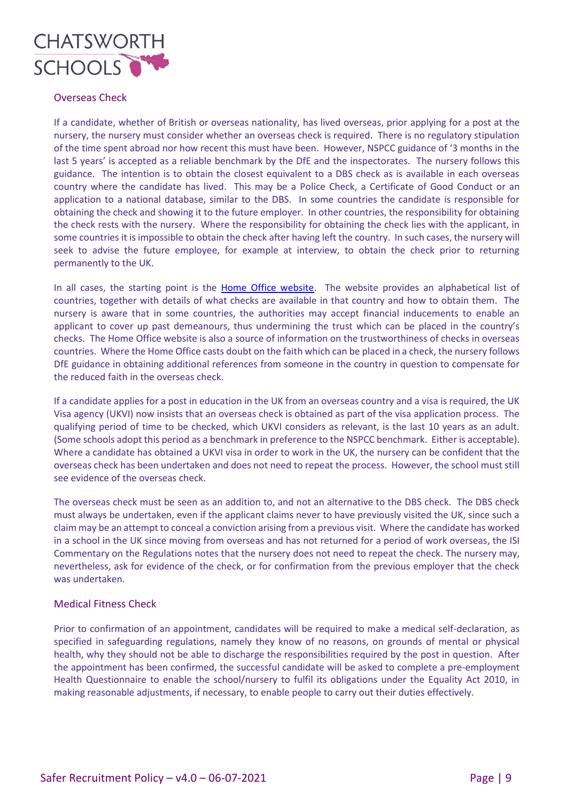

# Overseas Check

If a candidate, whether of British or overseas nationality, has lived overseas, prior applying for a post at the nursery, the nursery must consider whether an overseas check is required. There is no regulatory stipulation of the time spent abroad nor how recent this must have been. However, NSPCC guidance of '3 months in the last 5 years' is accepted as a reliable benchmark by the DfE and the inspectorates. The nursery follows this guidance. The intention is to obtain the closest equivalent to a DBS check as is available in each overseas country where the candidate has lived. This may be a Police Check, a Certificate of Good Conduct or an application to a national database, similar to the DBS. In some countries the candidate is responsible for obtaining the check and showing it to the future employer. In other countries, the responsibility for obtaining the check rests with the nursery. Where the responsibility for obtaining the check lies with the applicant, in some countries it is impossible to obtain the check after having left the country. In such cases, the nursery will seek to advise the future employee, for example at interview, to obtain the check prior to returning permanently to the UK.

In all cases, the starting point is the [Home Office website.](https://www.gov.uk/government/publications/criminal-records-checks-for-overseas-applicants) The website provides an alphabetical list of countries, together with details of what checks are available in that country and how to obtain them. The nursery is aware that in some countries, the authorities may accept financial inducements to enable an applicant to cover up past demeanours, thus undermining the trust which can be placed in the country's checks. The Home Office website is also a source of information on the trustworthiness of checks in overseas countries. Where the Home Office casts doubt on the faith which can be placed in a check, the nursery follows DfE guidance in obtaining additional references from someone in the country in question to compensate for the reduced faith in the overseas check.

If a candidate applies for a post in education in the UK from an overseas country and a visa is required, the UK Visa agency (UKVI) now insists that an overseas check is obtained as part of the visa application process. The qualifying period of time to be checked, which UKVI considers as relevant, is the last 10 years as an adult. (Some schools adopt this period as a benchmark in preference to the NSPCC benchmark. Either is acceptable). Where a candidate has obtained a UKVI visa in order to work in the UK, the nursery can be confident that the overseas check has been undertaken and does not need to repeat the process. However, the school must still see evidence of the overseas check.

The overseas check must be seen as an addition to, and not an alternative to the DBS check. The DBS check must always be undertaken, even if the applicant claims never to have previously visited the UK, since such a claim may be an attempt to conceal a conviction arising from a previous visit. Where the candidate has worked in a school in the UK since moving from overseas and has not returned for a period of work overseas, the ISI Commentary on the Regulations notes that the nursery does not need to repeat the check. The nursery may, nevertheless, ask for evidence of the check, or for confirmation from the previous employer that the check was undertaken.

#### Medical Fitness Check

Prior to confirmation of an appointment, candidates will be required to make a medical self-declaration, as specified in safeguarding regulations, namely they know of no reasons, on grounds of mental or physical health, why they should not be able to discharge the responsibilities required by the post in question. After the appointment has been confirmed, the successful candidate will be asked to complete a pre-employment Health Questionnaire to enable the school/nursery to fulfil its obligations under the Equality Act 2010, in making reasonable adjustments, if necessary, to enable people to carry out their duties effectively.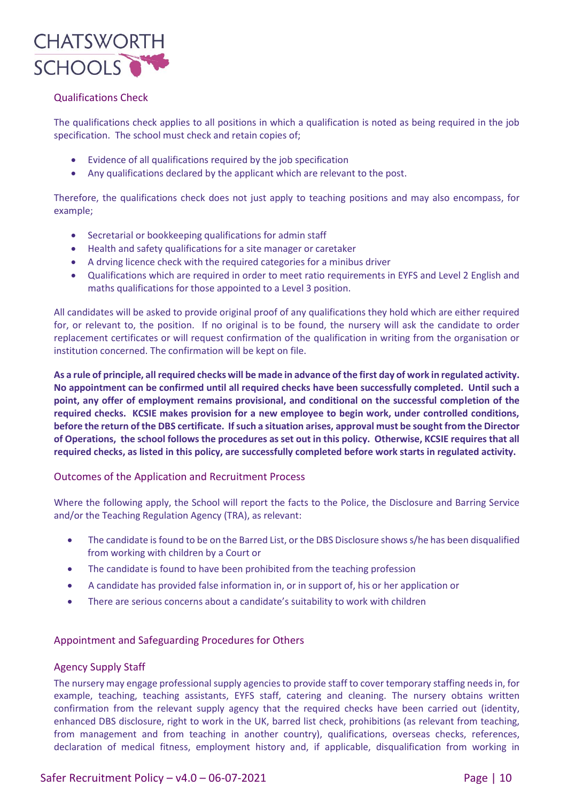

# Qualifications Check

The qualifications check applies to all positions in which a qualification is noted as being required in the job specification. The school must check and retain copies of;

- Evidence of all qualifications required by the job specification
- Any qualifications declared by the applicant which are relevant to the post.

Therefore, the qualifications check does not just apply to teaching positions and may also encompass, for example;

- Secretarial or bookkeeping qualifications for admin staff
- Health and safety qualifications for a site manager or caretaker
- A drving licence check with the required categories for a minibus driver
- Qualifications which are required in order to meet ratio requirements in EYFS and Level 2 English and maths qualifications for those appointed to a Level 3 position.

All candidates will be asked to provide original proof of any qualifications they hold which are either required for, or relevant to, the position. If no original is to be found, the nursery will ask the candidate to order replacement certificates or will request confirmation of the qualification in writing from the organisation or institution concerned. The confirmation will be kept on file.

**As a rule of principle, all required checks will be made in advance of the first day of work in regulated activity. No appointment can be confirmed until all required checks have been successfully completed. Until such a point, any offer of employment remains provisional, and conditional on the successful completion of the required checks. KCSIE makes provision for a new employee to begin work, under controlled conditions, before the return of the DBS certificate. If such a situation arises, approval must be sought from the Director of Operations, the school follows the procedures as set out in this policy. Otherwise, KCSIE requires that all required checks, as listed in this policy, are successfully completed before work starts in regulated activity.**

#### Outcomes of the Application and Recruitment Process

Where the following apply, the School will report the facts to the Police, the Disclosure and Barring Service and/or the Teaching Regulation Agency (TRA), as relevant:

- The candidate is found to be on the Barred List, or the DBS Disclosure shows s/he has been disqualified from working with children by a Court or
- The candidate is found to have been prohibited from the teaching profession
- A candidate has provided false information in, or in support of, his or her application or
- There are serious concerns about a candidate's suitability to work with children

#### Appointment and Safeguarding Procedures for Others

#### Agency Supply Staff

The nursery may engage professional supply agencies to provide staff to cover temporary staffing needs in, for example, teaching, teaching assistants, EYFS staff, catering and cleaning. The nursery obtains written confirmation from the relevant supply agency that the required checks have been carried out (identity, enhanced DBS disclosure, right to work in the UK, barred list check, prohibitions (as relevant from teaching, from management and from teaching in another country), qualifications, overseas checks, references, declaration of medical fitness, employment history and, if applicable, disqualification from working in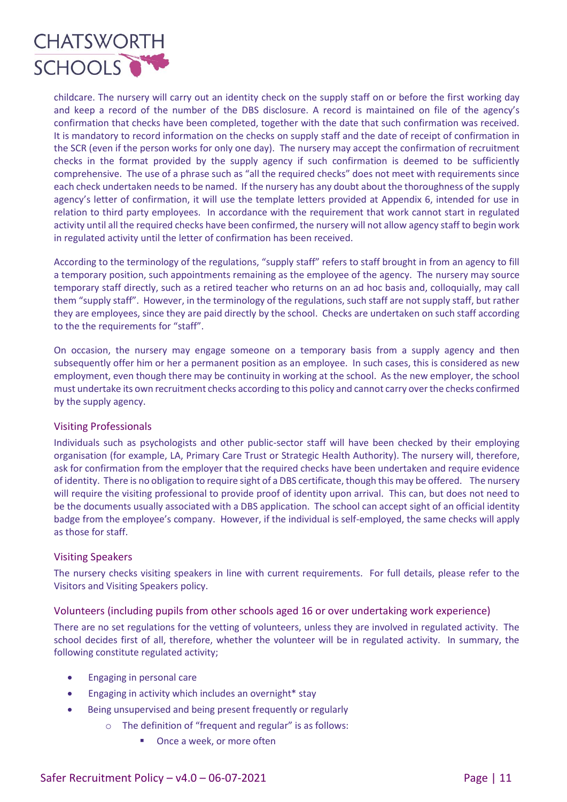

childcare. The nursery will carry out an identity check on the supply staff on or before the first working day and keep a record of the number of the DBS disclosure. A record is maintained on file of the agency's confirmation that checks have been completed, together with the date that such confirmation was received. It is mandatory to record information on the checks on supply staff and the date of receipt of confirmation in the SCR (even if the person works for only one day). The nursery may accept the confirmation of recruitment checks in the format provided by the supply agency if such confirmation is deemed to be sufficiently comprehensive. The use of a phrase such as "all the required checks" does not meet with requirements since each check undertaken needs to be named. If the nursery has any doubt about the thoroughness of the supply agency's letter of confirmation, it will use the template letters provided at Appendix 6, intended for use in relation to third party employees. In accordance with the requirement that work cannot start in regulated activity until all the required checks have been confirmed, the nursery will not allow agency staff to begin work in regulated activity until the letter of confirmation has been received.

According to the terminology of the regulations, "supply staff" refers to staff brought in from an agency to fill a temporary position, such appointments remaining as the employee of the agency. The nursery may source temporary staff directly, such as a retired teacher who returns on an ad hoc basis and, colloquially, may call them "supply staff". However, in the terminology of the regulations, such staff are not supply staff, but rather they are employees, since they are paid directly by the school. Checks are undertaken on such staff according to the the requirements for "staff".

On occasion, the nursery may engage someone on a temporary basis from a supply agency and then subsequently offer him or her a permanent position as an employee. In such cases, this is considered as new employment, even though there may be continuity in working at the school. As the new employer, the school must undertake its own recruitment checks according to this policy and cannot carry over the checks confirmed by the supply agency.

# Visiting Professionals

Individuals such as psychologists and other public-sector staff will have been checked by their employing organisation (for example, LA, Primary Care Trust or Strategic Health Authority). The nursery will, therefore, ask for confirmation from the employer that the required checks have been undertaken and require evidence of identity. There is no obligation to require sight of a DBS certificate, though this may be offered. The nursery will require the visiting professional to provide proof of identity upon arrival. This can, but does not need to be the documents usually associated with a DBS application. The school can accept sight of an official identity badge from the employee's company. However, if the individual is self-employed, the same checks will apply as those for staff.

#### Visiting Speakers

The nursery checks visiting speakers in line with current requirements. For full details, please refer to the Visitors and Visiting Speakers policy.

### Volunteers (including pupils from other schools aged 16 or over undertaking work experience)

There are no set regulations for the vetting of volunteers, unless they are involved in regulated activity. The school decides first of all, therefore, whether the volunteer will be in regulated activity. In summary, the following constitute regulated activity;

- Engaging in personal care
- Engaging in activity which includes an overnight\* stay
- Being unsupervised and being present frequently or regularly
	- o The definition of "frequent and regular" is as follows:
		- Once a week, or more often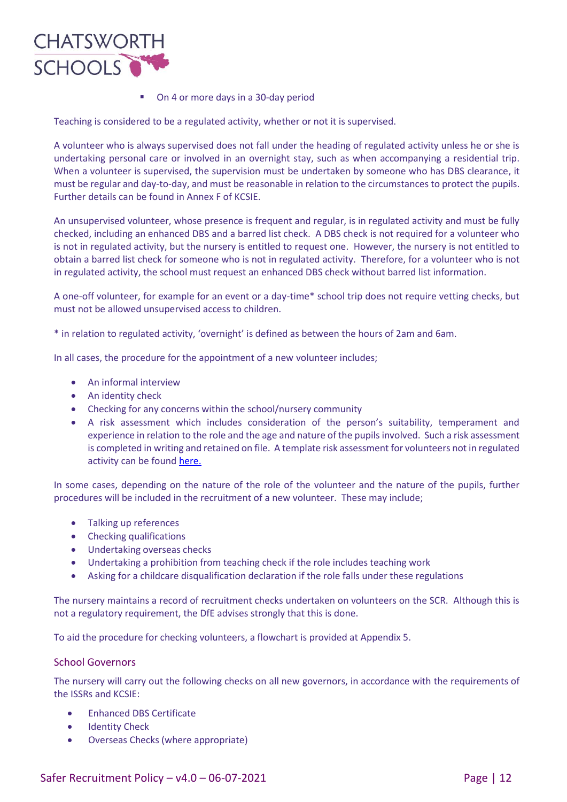

■ On 4 or more days in a 30-day period

Teaching is considered to be a regulated activity, whether or not it is supervised.

A volunteer who is always supervised does not fall under the heading of regulated activity unless he or she is undertaking personal care or involved in an overnight stay, such as when accompanying a residential trip. When a volunteer is supervised, the supervision must be undertaken by someone who has DBS clearance, it must be regular and day-to-day, and must be reasonable in relation to the circumstances to protect the pupils. Further details can be found in Annex F of KCSIE.

An unsupervised volunteer, whose presence is frequent and regular, is in regulated activity and must be fully checked, including an enhanced DBS and a barred list check. A DBS check is not required for a volunteer who is not in regulated activity, but the nursery is entitled to request one. However, the nursery is not entitled to obtain a barred list check for someone who is not in regulated activity. Therefore, for a volunteer who is not in regulated activity, the school must request an enhanced DBS check without barred list information.

A one-off volunteer, for example for an event or a day-time\* school trip does not require vetting checks, but must not be allowed unsupervised access to children.

\* in relation to regulated activity, 'overnight' is defined as between the hours of 2am and 6am.

In all cases, the procedure for the appointment of a new volunteer includes;

- An informal interview
- An identity check
- Checking for any concerns within the school/nursery community
- A risk assessment which includes consideration of the person's suitability, temperament and experience in relation to the role and the age and nature of the pupils involved. Such a risk assessment is completed in writing and retained on file. A template risk assessment for volunteers not in regulated activity can be found [here.](https://www.saferrecruitmentconsortium.org/)

In some cases, depending on the nature of the role of the volunteer and the nature of the pupils, further procedures will be included in the recruitment of a new volunteer. These may include;

- Talking up references
- Checking qualifications
- Undertaking overseas checks
- Undertaking a prohibition from teaching check if the role includes teaching work
- Asking for a childcare disqualification declaration if the role falls under these regulations

The nursery maintains a record of recruitment checks undertaken on volunteers on the SCR. Although this is not a regulatory requirement, the DfE advises strongly that this is done.

To aid the procedure for checking volunteers, a flowchart is provided at Appendix 5.

#### School Governors

The nursery will carry out the following checks on all new governors, in accordance with the requirements of the ISSRs and KCSIE:

- Enhanced DBS Certificate
- Identity Check
- Overseas Checks (where appropriate)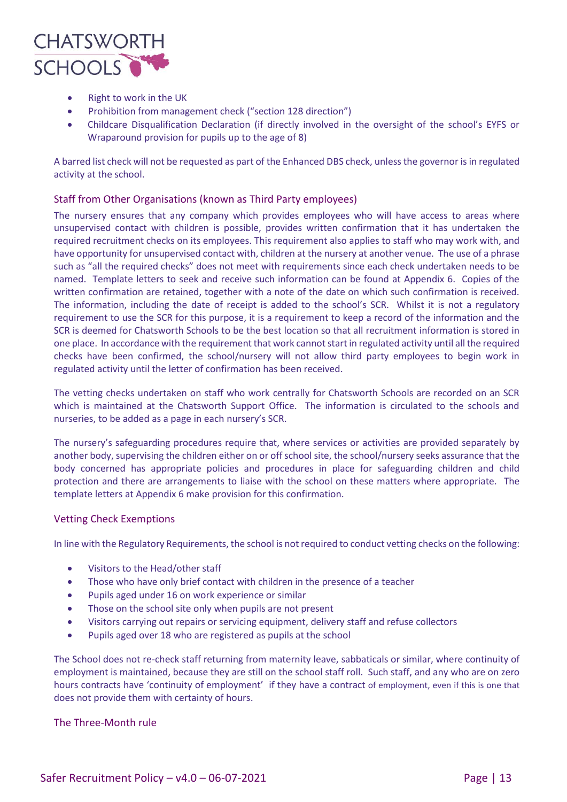

- Right to work in the UK
- Prohibition from management check ("section 128 direction")
- Childcare Disqualification Declaration (if directly involved in the oversight of the school's EYFS or Wraparound provision for pupils up to the age of 8)

A barred list check will not be requested as part of the Enhanced DBS check, unless the governor is in regulated activity at the school.

# Staff from Other Organisations (known as Third Party employees)

The nursery ensures that any company which provides employees who will have access to areas where unsupervised contact with children is possible, provides written confirmation that it has undertaken the required recruitment checks on its employees. This requirement also applies to staff who may work with, and have opportunity for unsupervised contact with, children at the nursery at another venue. The use of a phrase such as "all the required checks" does not meet with requirements since each check undertaken needs to be named. Template letters to seek and receive such information can be found at Appendix 6. Copies of the written confirmation are retained, together with a note of the date on which such confirmation is received. The information, including the date of receipt is added to the school's SCR. Whilst it is not a regulatory requirement to use the SCR for this purpose, it is a requirement to keep a record of the information and the SCR is deemed for Chatsworth Schools to be the best location so that all recruitment information is stored in one place. In accordance with the requirement that work cannot start in regulated activity until all the required checks have been confirmed, the school/nursery will not allow third party employees to begin work in regulated activity until the letter of confirmation has been received.

The vetting checks undertaken on staff who work centrally for Chatsworth Schools are recorded on an SCR which is maintained at the Chatsworth Support Office. The information is circulated to the schools and nurseries, to be added as a page in each nursery's SCR.

The nursery's safeguarding procedures require that, where services or activities are provided separately by another body, supervising the children either on or off school site, the school/nursery seeks assurance that the body concerned has appropriate policies and procedures in place for safeguarding children and child protection and there are arrangements to liaise with the school on these matters where appropriate. The template letters at Appendix 6 make provision for this confirmation.

#### Vetting Check Exemptions

In line with the Regulatory Requirements, the school is not required to conduct vetting checks on the following:

- Visitors to the Head/other staff
- Those who have only brief contact with children in the presence of a teacher
- Pupils aged under 16 on work experience or similar
- Those on the school site only when pupils are not present
- Visitors carrying out repairs or servicing equipment, delivery staff and refuse collectors
- Pupils aged over 18 who are registered as pupils at the school

The School does not re-check staff returning from maternity leave, sabbaticals or similar, where continuity of employment is maintained, because they are still on the school staff roll. Such staff, and any who are on zero hours contracts have 'continuity of employment' if they have a contract of employment, even if this is one that does not provide them with certainty of hours.

#### The Three-Month rule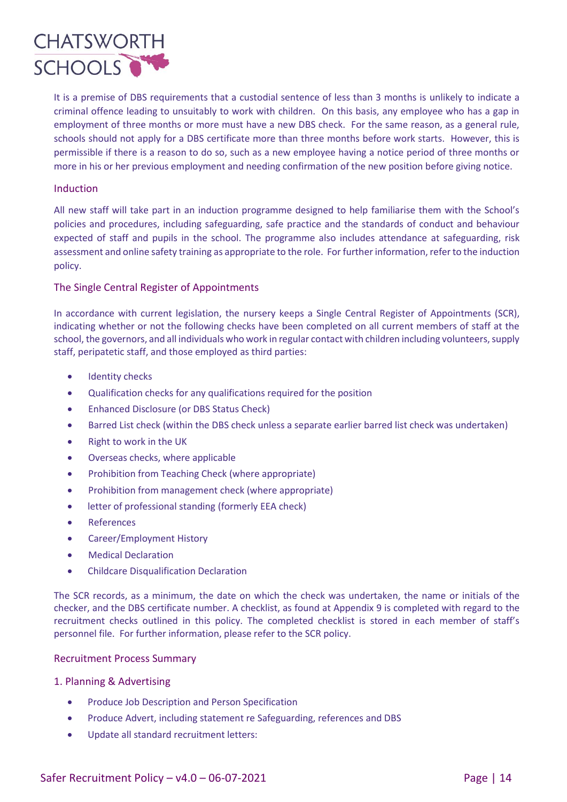

It is a premise of DBS requirements that a custodial sentence of less than 3 months is unlikely to indicate a criminal offence leading to unsuitably to work with children. On this basis, any employee who has a gap in employment of three months or more must have a new DBS check. For the same reason, as a general rule, schools should not apply for a DBS certificate more than three months before work starts. However, this is permissible if there is a reason to do so, such as a new employee having a notice period of three months or more in his or her previous employment and needing confirmation of the new position before giving notice.

#### Induction

All new staff will take part in an induction programme designed to help familiarise them with the School's policies and procedures, including safeguarding, safe practice and the standards of conduct and behaviour expected of staff and pupils in the school. The programme also includes attendance at safeguarding, risk assessment and online safety training as appropriate to the role. For further information, refer to the induction policy.

# The Single Central Register of Appointments

In accordance with current legislation, the nursery keeps a Single Central Register of Appointments (SCR), indicating whether or not the following checks have been completed on all current members of staff at the school, the governors, and all individuals who work in regular contact with children including volunteers, supply staff, peripatetic staff, and those employed as third parties:

- Identity checks
- Qualification checks for any qualifications required for the position
- Enhanced Disclosure (or DBS Status Check)
- Barred List check (within the DBS check unless a separate earlier barred list check was undertaken)
- Right to work in the UK
- Overseas checks, where applicable
- Prohibition from Teaching Check (where appropriate)
- Prohibition from management check (where appropriate)
- letter of professional standing (formerly EEA check)
- References
- Career/Employment History
- Medical Declaration
- Childcare Disqualification Declaration

The SCR records, as a minimum, the date on which the check was undertaken, the name or initials of the checker, and the DBS certificate number. A checklist, as found at Appendix 9 is completed with regard to the recruitment checks outlined in this policy. The completed checklist is stored in each member of staff's personnel file. For further information, please refer to the SCR policy.

#### Recruitment Process Summary

#### 1. Planning & Advertising

- Produce Job Description and Person Specification
- Produce Advert, including statement re Safeguarding, references and DBS
- Update all standard recruitment letters: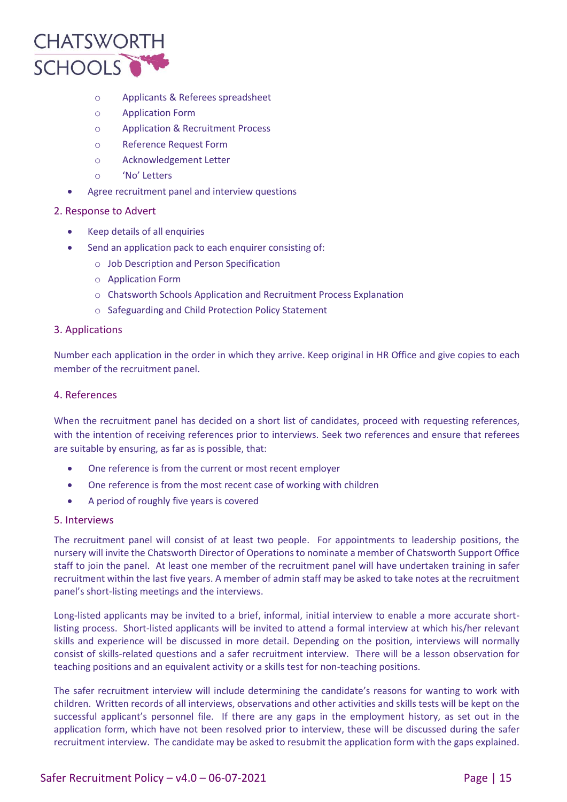

- o Applicants & Referees spreadsheet
- o Application Form
- o Application & Recruitment Process
- o Reference Request Form
- o Acknowledgement Letter
- o 'No' Letters
- Agree recruitment panel and interview questions

# 2. Response to Advert

- Keep details of all enquiries
- Send an application pack to each enquirer consisting of:
	- o Job Description and Person Specification
	- o Application Form
	- o Chatsworth Schools Application and Recruitment Process Explanation
	- o Safeguarding and Child Protection Policy Statement

### 3. Applications

Number each application in the order in which they arrive. Keep original in HR Office and give copies to each member of the recruitment panel.

### 4. References

When the recruitment panel has decided on a short list of candidates, proceed with requesting references, with the intention of receiving references prior to interviews. Seek two references and ensure that referees are suitable by ensuring, as far as is possible, that:

- One reference is from the current or most recent employer
- One reference is from the most recent case of working with children
- A period of roughly five years is covered

# 5. Interviews

The recruitment panel will consist of at least two people. For appointments to leadership positions, the nursery will invite the Chatsworth Director of Operations to nominate a member of Chatsworth Support Office staff to join the panel. At least one member of the recruitment panel will have undertaken training in safer recruitment within the last five years. A member of admin staff may be asked to take notes at the recruitment panel's short-listing meetings and the interviews.

Long-listed applicants may be invited to a brief, informal, initial interview to enable a more accurate shortlisting process. Short-listed applicants will be invited to attend a formal interview at which his/her relevant skills and experience will be discussed in more detail. Depending on the position, interviews will normally consist of skills-related questions and a safer recruitment interview. There will be a lesson observation for teaching positions and an equivalent activity or a skills test for non-teaching positions.

The safer recruitment interview will include determining the candidate's reasons for wanting to work with children. Written records of all interviews, observations and other activities and skills tests will be kept on the successful applicant's personnel file. If there are any gaps in the employment history, as set out in the application form, which have not been resolved prior to interview, these will be discussed during the safer recruitment interview. The candidate may be asked to resubmit the application form with the gaps explained.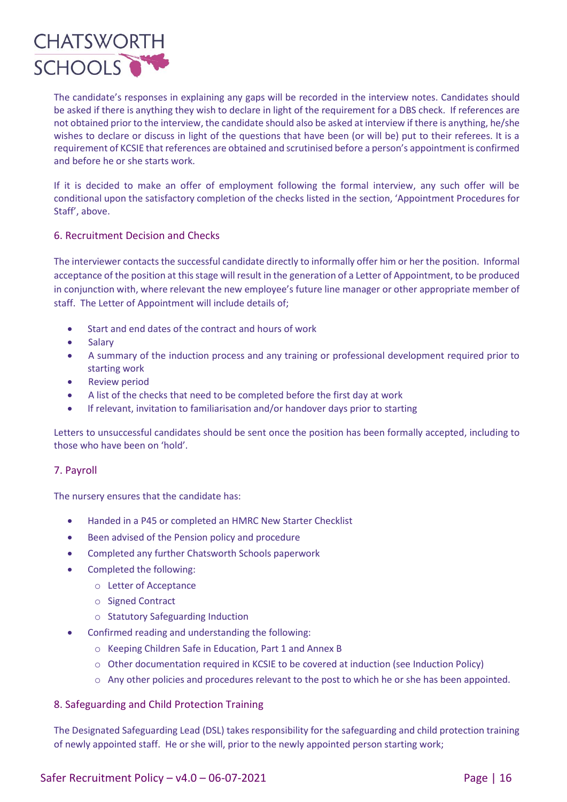

The candidate's responses in explaining any gaps will be recorded in the interview notes. Candidates should be asked if there is anything they wish to declare in light of the requirement for a DBS check. If references are not obtained prior to the interview, the candidate should also be asked at interview if there is anything, he/she wishes to declare or discuss in light of the questions that have been (or will be) put to their referees. It is a requirement of KCSIE that references are obtained and scrutinised before a person's appointment is confirmed and before he or she starts work.

If it is decided to make an offer of employment following the formal interview, any such offer will be conditional upon the satisfactory completion of the checks listed in the section, 'Appointment Procedures for Staff', above.

# 6. Recruitment Decision and Checks

The interviewer contacts the successful candidate directly to informally offer him or her the position. Informal acceptance of the position at this stage will result in the generation of a Letter of Appointment, to be produced in conjunction with, where relevant the new employee's future line manager or other appropriate member of staff. The Letter of Appointment will include details of;

- Start and end dates of the contract and hours of work
- Salary
- A summary of the induction process and any training or professional development required prior to starting work
- Review period
- A list of the checks that need to be completed before the first day at work
- If relevant, invitation to familiarisation and/or handover days prior to starting

Letters to unsuccessful candidates should be sent once the position has been formally accepted, including to those who have been on 'hold'.

# 7. Payroll

The nursery ensures that the candidate has:

- Handed in a P45 or completed an HMRC New Starter Checklist
- Been advised of the Pension policy and procedure
- Completed any further Chatsworth Schools paperwork
- Completed the following:
	- o Letter of Acceptance
	- o Signed Contract
	- o Statutory Safeguarding Induction
- Confirmed reading and understanding the following:
	- o Keeping Children Safe in Education, Part 1 and Annex B
	- o Other documentation required in KCSIE to be covered at induction (see Induction Policy)
	- o Any other policies and procedures relevant to the post to which he or she has been appointed.

#### 8. Safeguarding and Child Protection Training

The Designated Safeguarding Lead (DSL) takes responsibility for the safeguarding and child protection training of newly appointed staff. He or she will, prior to the newly appointed person starting work;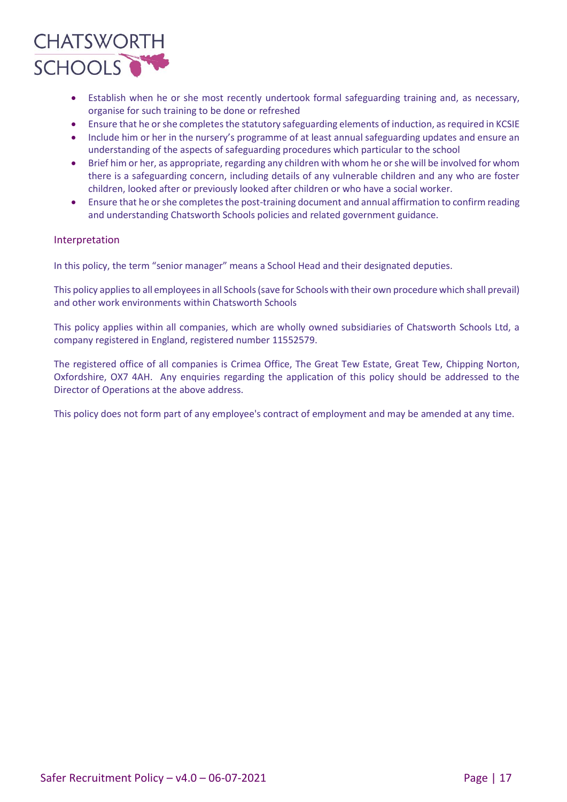

- Establish when he or she most recently undertook formal safeguarding training and, as necessary, organise for such training to be done or refreshed
- Ensure that he or she completes the statutory safeguarding elements of induction, as required in KCSIE
- Include him or her in the nursery's programme of at least annual safeguarding updates and ensure an understanding of the aspects of safeguarding procedures which particular to the school
- Brief him or her, as appropriate, regarding any children with whom he or she will be involved for whom there is a safeguarding concern, including details of any vulnerable children and any who are foster children, looked after or previously looked after children or who have a social worker.
- Ensure that he or she completes the post-training document and annual affirmation to confirm reading and understanding Chatsworth Schools policies and related government guidance.

#### Interpretation

In this policy, the term "senior manager" means a School Head and their designated deputies.

This policy applies to all employees in all Schools (save for Schools with their own procedure which shall prevail) and other work environments within Chatsworth Schools

This policy applies within all companies, which are wholly owned subsidiaries of Chatsworth Schools Ltd, a company registered in England, registered number 11552579.

The registered office of all companies is Crimea Office, The Great Tew Estate, Great Tew, Chipping Norton, Oxfordshire, OX7 4AH. Any enquiries regarding the application of this policy should be addressed to the Director of Operations at the above address.

This policy does not form part of any employee's contract of employment and may be amended at any time.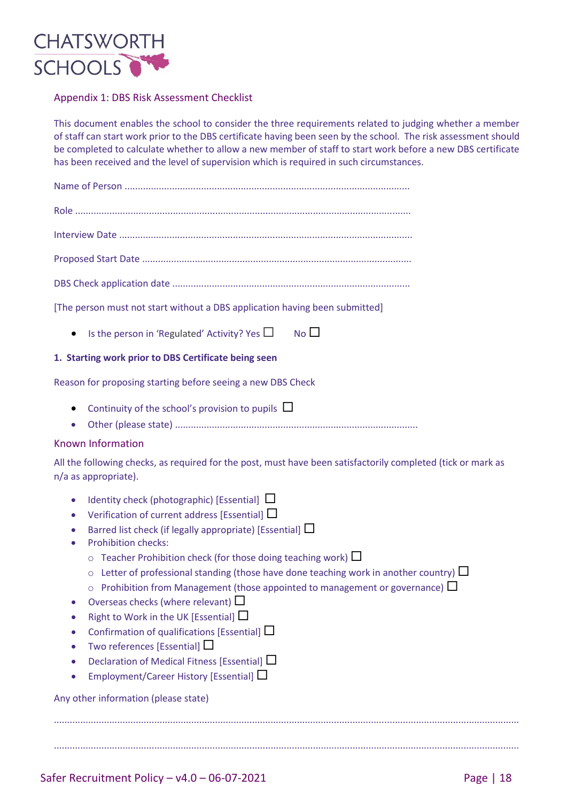

# Appendix 1: DBS Risk Assessment Checklist

This document enables the school to consider the three requirements related to judging whether a member of staff can start work prior to the DBS certificate having been seen by the school. The risk assessment should be completed to calculate whether to allow a new member of staff to start work before a new DBS certificate has been received and the level of supervision which is required in such circumstances.

| [The person must not start without a DBS application having been submitted]                                                                                                                                                                                                                                                                                                                                                                                                                                                                                                                                                                                                                                                                                                                                                                                |
|------------------------------------------------------------------------------------------------------------------------------------------------------------------------------------------------------------------------------------------------------------------------------------------------------------------------------------------------------------------------------------------------------------------------------------------------------------------------------------------------------------------------------------------------------------------------------------------------------------------------------------------------------------------------------------------------------------------------------------------------------------------------------------------------------------------------------------------------------------|
| No<br>Is the person in 'Regulated' Activity? Yes $\Box$<br>$\bullet$                                                                                                                                                                                                                                                                                                                                                                                                                                                                                                                                                                                                                                                                                                                                                                                       |
| 1. Starting work prior to DBS Certificate being seen                                                                                                                                                                                                                                                                                                                                                                                                                                                                                                                                                                                                                                                                                                                                                                                                       |
| Reason for proposing starting before seeing a new DBS Check                                                                                                                                                                                                                                                                                                                                                                                                                                                                                                                                                                                                                                                                                                                                                                                                |
| Continuity of the school's provision to pupils $\Box$<br>$\bullet$                                                                                                                                                                                                                                                                                                                                                                                                                                                                                                                                                                                                                                                                                                                                                                                         |
| <b>Known Information</b>                                                                                                                                                                                                                                                                                                                                                                                                                                                                                                                                                                                                                                                                                                                                                                                                                                   |
| All the following checks, as required for the post, must have been satisfactorily completed (tick or mark as<br>n/a as appropriate).                                                                                                                                                                                                                                                                                                                                                                                                                                                                                                                                                                                                                                                                                                                       |
| Identity check (photographic) [Essential] $\Box$<br>$\bullet$<br>Verification of current address [Essential] $\Box$<br>$\bullet$<br>Barred list check (if legally appropriate) [Essential] $\Box$<br><b>Prohibition checks:</b><br>$\circ$ Teacher Prohibition check (for those doing teaching work) $\Box$<br>Letter of professional standing (those have done teaching work in another country) $\Box$<br>$\circ$<br>Prohibition from Management (those appointed to management or governance) $\Box$<br>$\circ$<br>• Overseas checks (where relevant) $\Box$<br>Right to Work in the UK [Essential] $\square$<br>Confirmation of qualifications [Essential] $\Box$<br>Two references [Essential] $\square$<br>Declaration of Medical Fitness [Essential] $\Box$<br>Employment/Career History [Essential] $\Box$<br>Any other information (please state) |
|                                                                                                                                                                                                                                                                                                                                                                                                                                                                                                                                                                                                                                                                                                                                                                                                                                                            |
|                                                                                                                                                                                                                                                                                                                                                                                                                                                                                                                                                                                                                                                                                                                                                                                                                                                            |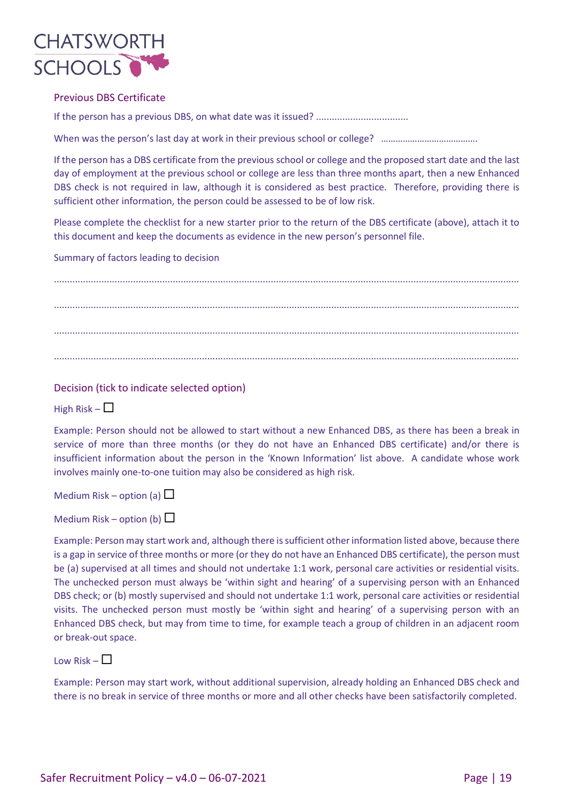

### Previous DBS Certificate

If the person has a previous DBS, on what date was it issued? ...................................

When was the person's last day at work in their previous school or college? ……………………………………

If the person has a DBS certificate from the previous school or college and the proposed start date and the last day of employment at the previous school or college are less than three months apart, then a new Enhanced DBS check is not required in law, although it is considered as best practice. Therefore, providing there is sufficient other information, the person could be assessed to be of low risk.

Please complete the checklist for a new starter prior to the return of the DBS certificate (above), attach it to this document and keep the documents as evidence in the new person's personnel file.

Summary of factors leading to decision

................................................................................................................................................................................ ................................................................................................................................................................................ ................................................................................................................................................................................ ................................................................................................................................................................................

Decision (tick to indicate selected option)

High Risk –  $\Box$ 

Example: Person should not be allowed to start without a new Enhanced DBS, as there has been a break in service of more than three months (or they do not have an Enhanced DBS certificate) and/or there is insufficient information about the person in the 'Known Information' list above. A candidate whose work involves mainly one-to-one tuition may also be considered as high risk.

Medium Risk – option (a)  $\Box$ 

Medium Risk – option (b)  $\Box$ 

Example: Person may start work and, although there is sufficient other information listed above, because there is a gap in service of three months or more (or they do not have an Enhanced DBS certificate), the person must be (a) supervised at all times and should not undertake 1:1 work, personal care activities or residential visits. The unchecked person must always be 'within sight and hearing' of a supervising person with an Enhanced DBS check; or (b) mostly supervised and should not undertake 1:1 work, personal care activities or residential visits. The unchecked person must mostly be 'within sight and hearing' of a supervising person with an Enhanced DBS check, but may from time to time, for example teach a group of children in an adjacent room or break-out space.

Low Risk –  $\Box$ 

Example: Person may start work, without additional supervision, already holding an Enhanced DBS check and there is no break in service of three months or more and all other checks have been satisfactorily completed.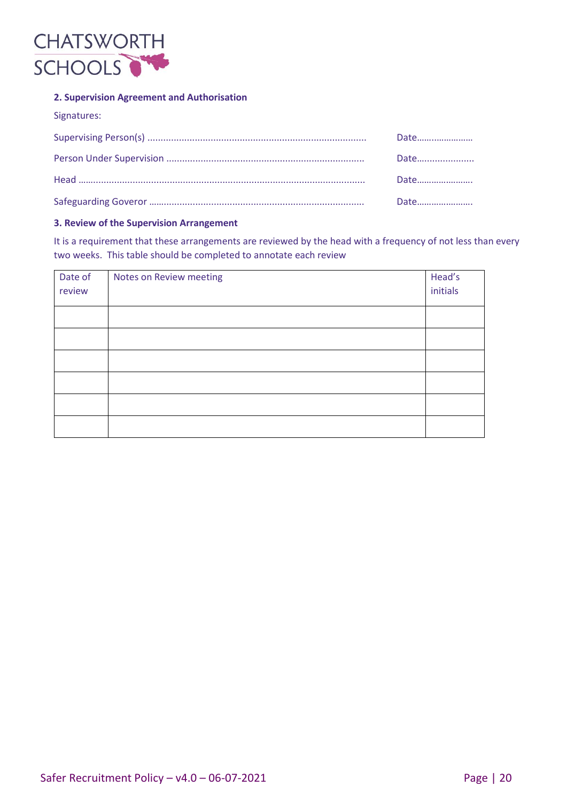

# **2. Supervision Agreement and Authorisation**

| Signatures: |      |
|-------------|------|
|             | Date |
|             | Date |
|             | Date |
|             | Date |

#### **3. Review of the Supervision Arrangement**

It is a requirement that these arrangements are reviewed by the head with a frequency of not less than every two weeks. This table should be completed to annotate each review

| Date of<br>review | Notes on Review meeting | Head's<br>initials |
|-------------------|-------------------------|--------------------|
|                   |                         |                    |
|                   |                         |                    |
|                   |                         |                    |
|                   |                         |                    |
|                   |                         |                    |
|                   |                         |                    |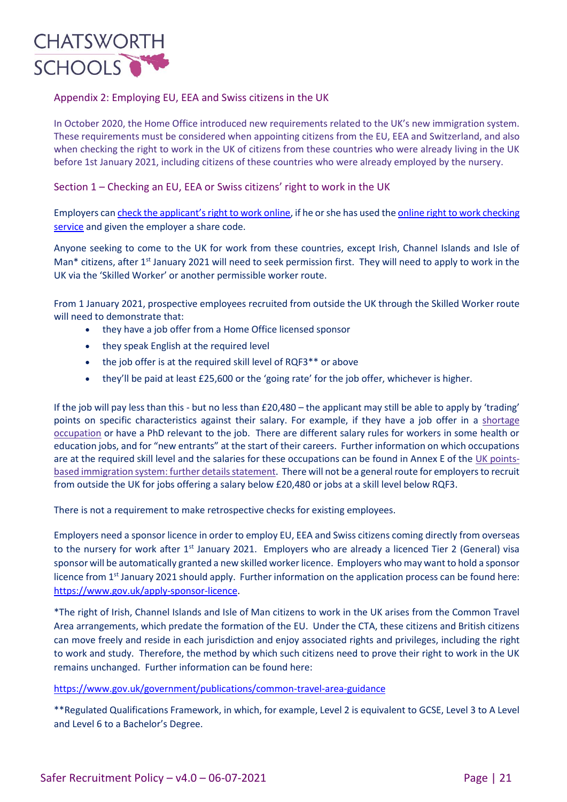

# Appendix 2: Employing EU, EEA and Swiss citizens in the UK

In October 2020, the Home Office introduced new requirements related to the UK's new immigration system. These requirements must be considered when appointing citizens from the EU, EEA and Switzerland, and also when checking the right to work in the UK of citizens from these countries who were already living in the UK before 1st January 2021, including citizens of these countries who were already employed by the nursery.

Section 1 – Checking an EU, EEA or Swiss citizens' right to work in the UK

Employers can [check the applicant's right to work online](https://www.gov.uk/view-right-to-work), if he or she has used the [online right to work checking](https://www.gov.uk/prove-right-to-work)  [service](https://www.gov.uk/prove-right-to-work) and given the employer a share code.

Anyone seeking to come to the UK for work from these countries, except Irish, Channel Islands and Isle of Man\* citizens, after  $1<sup>st</sup>$  January 2021 will need to seek permission first. They will need to apply to work in the UK via the 'Skilled Worker' or another permissible worker route.

From 1 January 2021, prospective employees recruited from outside the UK through the Skilled Worker route will need to demonstrate that:

- they have a job offer from a Home Office licensed sponsor
- they speak English at the required level
- the job offer is at the required skill level of RQF3<sup>\*\*</sup> or above
- they'll be paid at least £25,600 or the 'going rate' for the job offer, whichever is higher.

If the job will pay less than this - but no less than £20,480 – the applicant may still be able to apply by 'trading' points on specific characteristics against their salary. For example, if they have a job offer in a [shortage](https://www.gov.uk/guidance/immigration-rules/immigration-rules-appendix-k-shortage-occupation-list) [occupation](https://www.gov.uk/guidance/immigration-rules/immigration-rules-appendix-k-shortage-occupation-list) or have a PhD relevant to the job. There are different salary rules for workers in some health or education jobs, and for "new entrants" at the start of their careers. Further information on which occupations are at the required skill level and the salaries for these occupations can be found in Annex E of the UK [points](https://www.gov.uk/government/publications/uk-points-based-immigration-system-further-details-statement)based immigration system: further details statement. There will not be a general route for employers to recruit from outside the UK for jobs offering a salary below £20,480 or jobs at a skill level below RQF3.

There is not a requirement to make retrospective checks for existing employees.

Employers need a sponsor licence in order to employ EU, EEA and Swiss citizens coming directly from overseas to the nursery for work after 1<sup>st</sup> January 2021. Employers who are already a licenced Tier 2 (General) visa sponsor will be automatically granted a new skilled worker licence. Employers who may want to hold a sponsor licence from 1st January 2021 should apply. Further information on the application process can be found here: [https://www.gov.uk/apply-sponsor-licence.](https://www.gov.uk/apply-sponsor-licence)

\*The right of Irish, Channel Islands and Isle of Man citizens to work in the UK arises from the Common Travel Area arrangements, which predate the formation of the EU. Under the CTA, these citizens and British citizens can move freely and reside in each jurisdiction and enjoy associated rights and privileges, including the right to work and study. Therefore, the method by which such citizens need to prove their right to work in the UK remains unchanged. Further information can be found here:

<https://www.gov.uk/government/publications/common-travel-area-guidance>

\*\*Regulated Qualifications Framework, in which, for example, Level 2 is equivalent to GCSE, Level 3 to A Level and Level 6 to a Bachelor's Degree.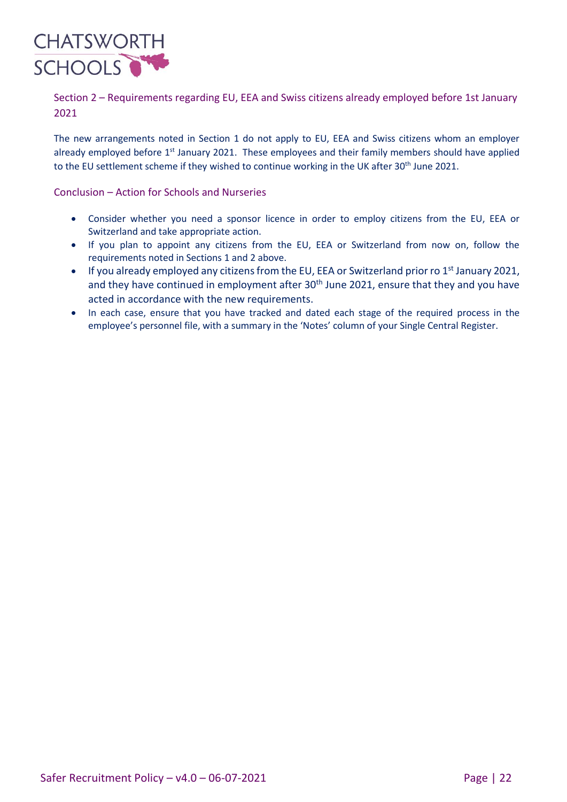

Section 2 – Requirements regarding EU, EEA and Swiss citizens already employed before 1st January 2021

The new arrangements noted in Section 1 do not apply to EU, EEA and Swiss citizens whom an employer already employed before 1<sup>st</sup> January 2021. These employees and their family members should have applied to the EU settlement scheme if they wished to continue working in the UK after 30<sup>th</sup> June 2021.

# Conclusion – Action for Schools and Nurseries

- Consider whether you need a sponsor licence in order to employ citizens from the EU, EEA or Switzerland and take appropriate action.
- If you plan to appoint any citizens from the EU, EEA or Switzerland from now on, follow the requirements noted in Sections 1 and 2 above.
- If you already employed any citizens from the EU, EEA or Switzerland prior ro 1<sup>st</sup> January 2021, and they have continued in employment after 30<sup>th</sup> June 2021, ensure that they and you have acted in accordance with the new requirements.
- In each case, ensure that you have tracked and dated each stage of the required process in the employee's personnel file, with a summary in the 'Notes' column of your Single Central Register.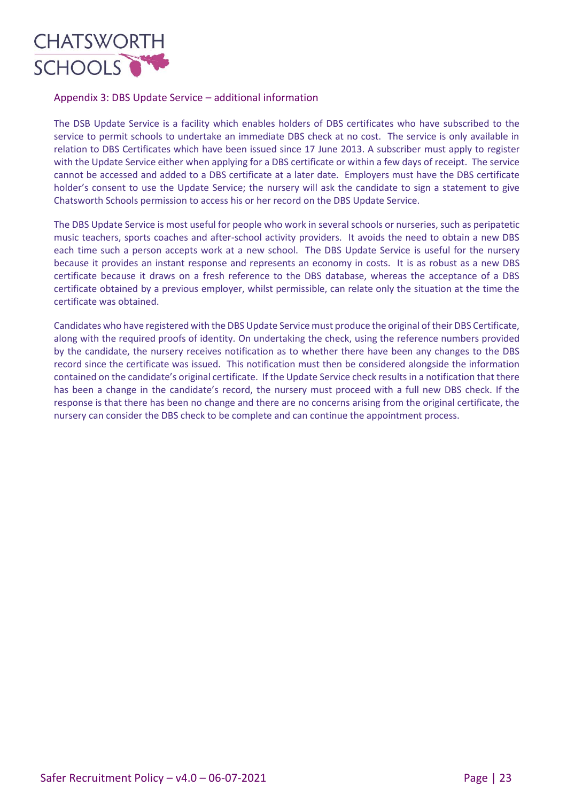

# Appendix 3: DBS Update Service – additional information

The DSB Update Service is a facility which enables holders of DBS certificates who have subscribed to the service to permit schools to undertake an immediate DBS check at no cost. The service is only available in relation to DBS Certificates which have been issued since 17 June 2013. A subscriber must apply to register with the Update Service either when applying for a DBS certificate or within a few days of receipt. The service cannot be accessed and added to a DBS certificate at a later date. Employers must have the DBS certificate holder's consent to use the Update Service; the nursery will ask the candidate to sign a statement to give Chatsworth Schools permission to access his or her record on the DBS Update Service.

The DBS Update Service is most useful for people who work in several schools or nurseries, such as peripatetic music teachers, sports coaches and after-school activity providers. It avoids the need to obtain a new DBS each time such a person accepts work at a new school. The DBS Update Service is useful for the nursery because it provides an instant response and represents an economy in costs. It is as robust as a new DBS certificate because it draws on a fresh reference to the DBS database, whereas the acceptance of a DBS certificate obtained by a previous employer, whilst permissible, can relate only the situation at the time the certificate was obtained.

Candidates who have registered with the DBS Update Service must produce the original of their DBS Certificate, along with the required proofs of identity. On undertaking the check, using the reference numbers provided by the candidate, the nursery receives notification as to whether there have been any changes to the DBS record since the certificate was issued. This notification must then be considered alongside the information contained on the candidate's original certificate. If the Update Service check results in a notification that there has been a change in the candidate's record, the nursery must proceed with a full new DBS check. If the response is that there has been no change and there are no concerns arising from the original certificate, the nursery can consider the DBS check to be complete and can continue the appointment process.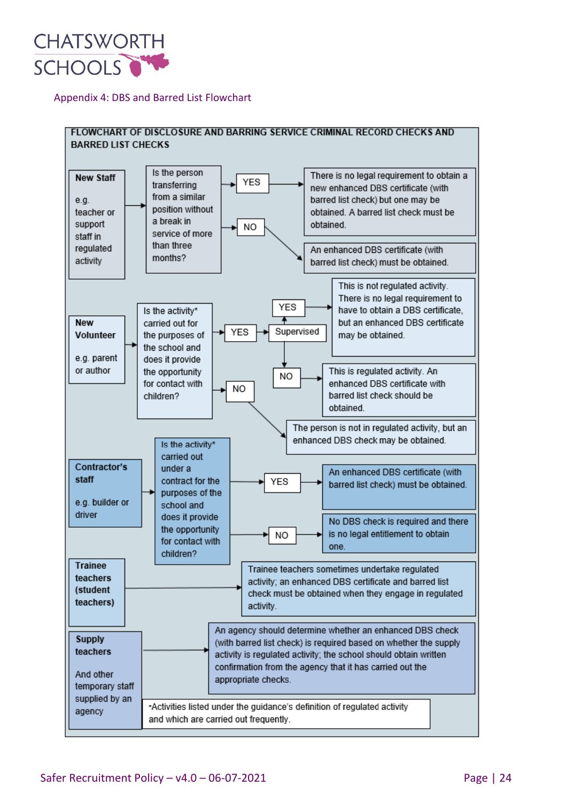

# Appendix 4: DBS and Barred List Flowchart

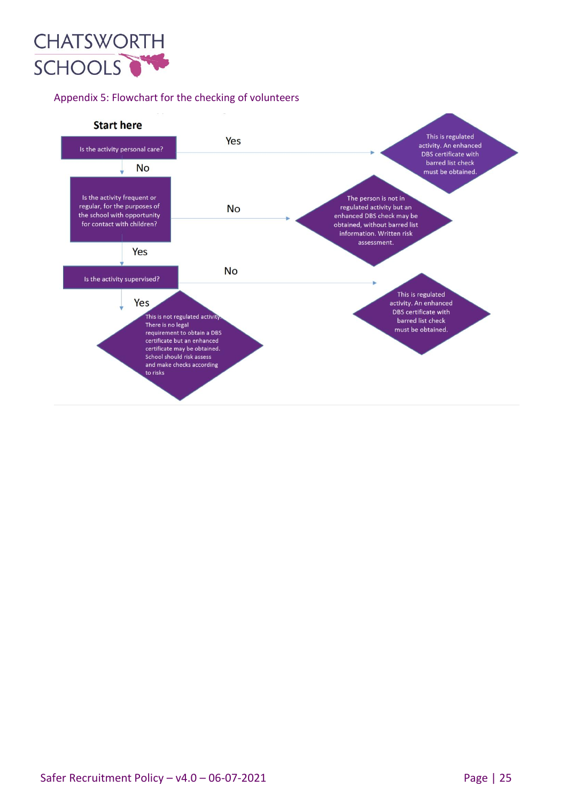

# Appendix 5: Flowchart for the checking of volunteers

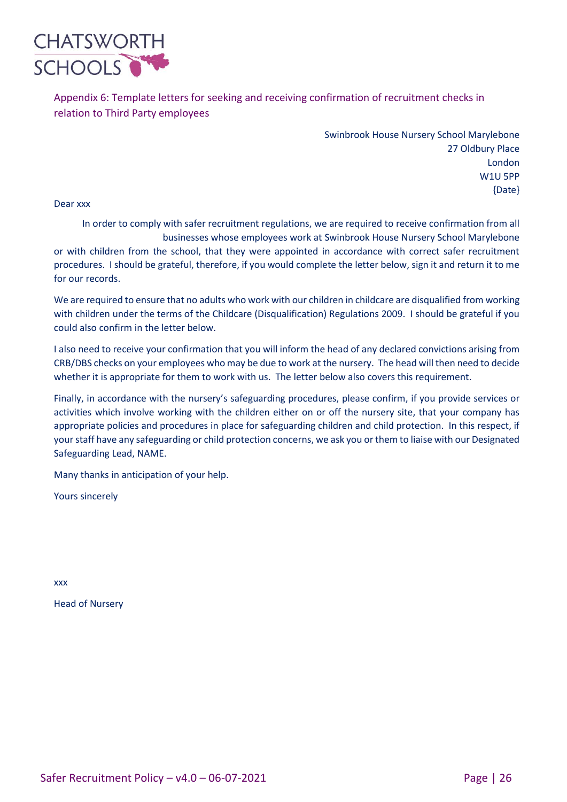

Appendix 6: Template letters for seeking and receiving confirmation of recruitment checks in relation to Third Party employees

> Swinbrook House Nursery School Marylebone 27 Oldbury Place London W1U 5PP {Date}

Dear xxx

In order to comply with safer recruitment regulations, we are required to receive confirmation from all businesses whose employees work at Swinbrook House Nursery School Marylebone or with children from the school, that they were appointed in accordance with correct safer recruitment procedures. I should be grateful, therefore, if you would complete the letter below, sign it and return it to me for our records.

We are required to ensure that no adults who work with our children in childcare are disqualified from working with children under the terms of the Childcare (Disqualification) Regulations 2009. I should be grateful if you could also confirm in the letter below.

I also need to receive your confirmation that you will inform the head of any declared convictions arising from CRB/DBS checks on your employees who may be due to work at the nursery. The head will then need to decide whether it is appropriate for them to work with us. The letter below also covers this requirement.

Finally, in accordance with the nursery's safeguarding procedures, please confirm, if you provide services or activities which involve working with the children either on or off the nursery site, that your company has appropriate policies and procedures in place for safeguarding children and child protection. In this respect, if your staff have any safeguarding or child protection concerns, we ask you or them to liaise with our Designated Safeguarding Lead, NAME.

Many thanks in anticipation of your help.

Yours sincerely

xxx

Head of Nursery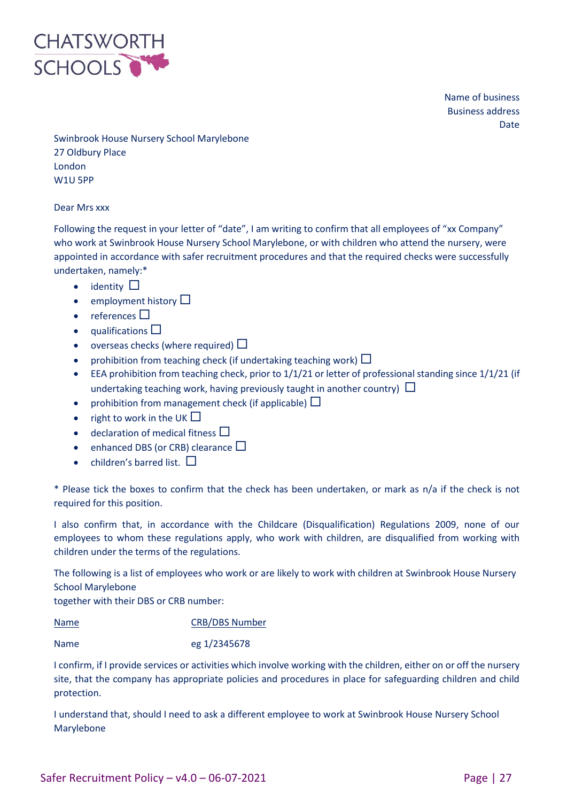

Name of business Business address Date

Swinbrook House Nursery School Marylebone 27 Oldbury Place London W1U 5PP

#### Dear Mrs xxx

Following the request in your letter of "date", I am writing to confirm that all employees of "xx Company" who work at Swinbrook House Nursery School Marylebone, or with children who attend the nursery, were appointed in accordance with safer recruitment procedures and that the required checks were successfully undertaken, namely:\*

- identity  $\square$
- employment history  $\square$
- $\bullet$  references  $\Box$
- $\bullet$  qualifications  $\square$
- overseas checks (where required)  $\Box$
- prohibition from teaching check (if undertaking teaching work)  $\Box$
- EEA prohibition from teaching check, prior to 1/1/21 or letter of professional standing since 1/1/21 (if undertaking teaching work, having previously taught in another country)  $\Box$
- prohibition from management check (if applicable)  $\Box$
- right to work in the UK  $\Box$
- declaration of medical fitness  $\Box$
- enhanced DBS (or CRB) clearance  $\square$
- children's barred list.  $\square$

\* Please tick the boxes to confirm that the check has been undertaken, or mark as n/a if the check is not required for this position.

I also confirm that, in accordance with the Childcare (Disqualification) Regulations 2009, none of our employees to whom these regulations apply, who work with children, are disqualified from working with children under the terms of the regulations.

The following is a list of employees who work or are likely to work with children at Swinbrook House Nursery School Marylebone

together with their DBS or CRB number:

Name CRB/DBS Number

Name eg 1/2345678

I confirm, if I provide services or activities which involve working with the children, either on or off the nursery site, that the company has appropriate policies and procedures in place for safeguarding children and child protection.

I understand that, should I need to ask a different employee to work at Swinbrook House Nursery School Marylebone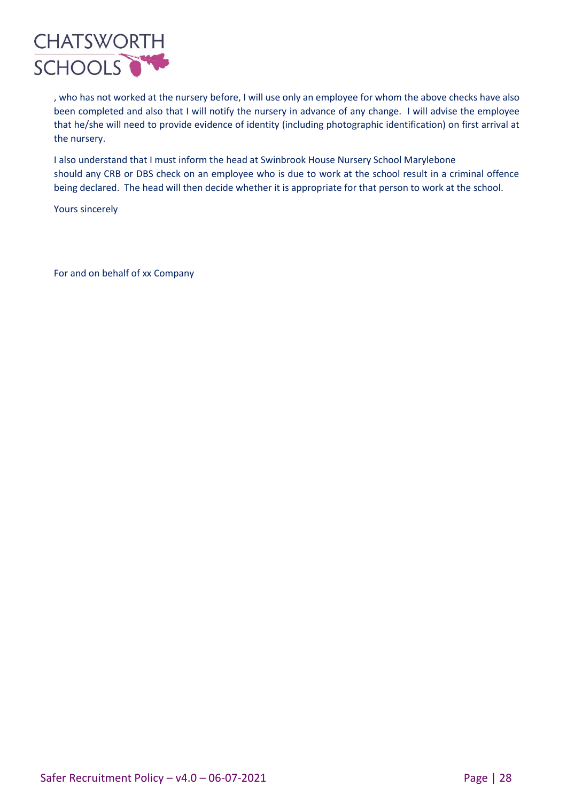

, who has not worked at the nursery before, I will use only an employee for whom the above checks have also been completed and also that I will notify the nursery in advance of any change. I will advise the employee that he/she will need to provide evidence of identity (including photographic identification) on first arrival at the nursery.

I also understand that I must inform the head at Swinbrook House Nursery School Marylebone should any CRB or DBS check on an employee who is due to work at the school result in a criminal offence being declared. The head will then decide whether it is appropriate for that person to work at the school.

Yours sincerely

For and on behalf of xx Company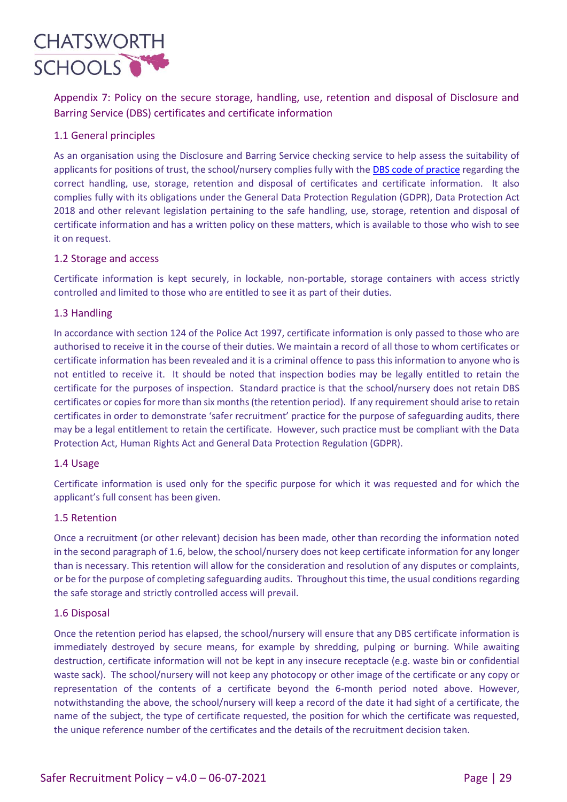

Appendix 7: Policy on the secure storage, handling, use, retention and disposal of Disclosure and Barring Service (DBS) certificates and certificate information

# 1.1 General principles

As an organisation using the Disclosure and Barring Service checking service to help assess the suitability of applicants for positions of trust, the school/nursery complies fully with the DBS [code of practice](https://assets.publishing.service.gov.uk/government/uploads/system/uploads/attachment_data/file/474742/Code_of_Practice_for_Disclosure_and_Barring_Service_Nov_15.pdf) regarding the correct handling, use, storage, retention and disposal of certificates and certificate information. It also complies fully with its obligations under the General Data Protection Regulation (GDPR), Data Protection Act 2018 and other relevant legislation pertaining to the safe handling, use, storage, retention and disposal of certificate information and has a written policy on these matters, which is available to those who wish to see it on request.

# 1.2 Storage and access

Certificate information is kept securely, in lockable, non-portable, storage containers with access strictly controlled and limited to those who are entitled to see it as part of their duties.

# 1.3 Handling

In accordance with section 124 of the Police Act 1997, certificate information is only passed to those who are authorised to receive it in the course of their duties. We maintain a record of all those to whom certificates or certificate information has been revealed and it is a criminal offence to pass this information to anyone who is not entitled to receive it. It should be noted that inspection bodies may be legally entitled to retain the certificate for the purposes of inspection. Standard practice is that the school/nursery does not retain DBS certificates or copies for more than six months (the retention period). If any requirement should arise to retain certificates in order to demonstrate 'safer recruitment' practice for the purpose of safeguarding audits, there may be a legal entitlement to retain the certificate. However, such practice must be compliant with the Data Protection Act, Human Rights Act and General Data Protection Regulation (GDPR).

#### 1.4 Usage

Certificate information is used only for the specific purpose for which it was requested and for which the applicant's full consent has been given.

#### 1.5 Retention

Once a recruitment (or other relevant) decision has been made, other than recording the information noted in the second paragraph of 1.6, below, the school/nursery does not keep certificate information for any longer than is necessary. This retention will allow for the consideration and resolution of any disputes or complaints, or be for the purpose of completing safeguarding audits. Throughout this time, the usual conditions regarding the safe storage and strictly controlled access will prevail.

#### 1.6 Disposal

Once the retention period has elapsed, the school/nursery will ensure that any DBS certificate information is immediately destroyed by secure means, for example by shredding, pulping or burning. While awaiting destruction, certificate information will not be kept in any insecure receptacle (e.g. waste bin or confidential waste sack). The school/nursery will not keep any photocopy or other image of the certificate or any copy or representation of the contents of a certificate beyond the 6-month period noted above. However, notwithstanding the above, the school/nursery will keep a record of the date it had sight of a certificate, the name of the subject, the type of certificate requested, the position for which the certificate was requested, the unique reference number of the certificates and the details of the recruitment decision taken.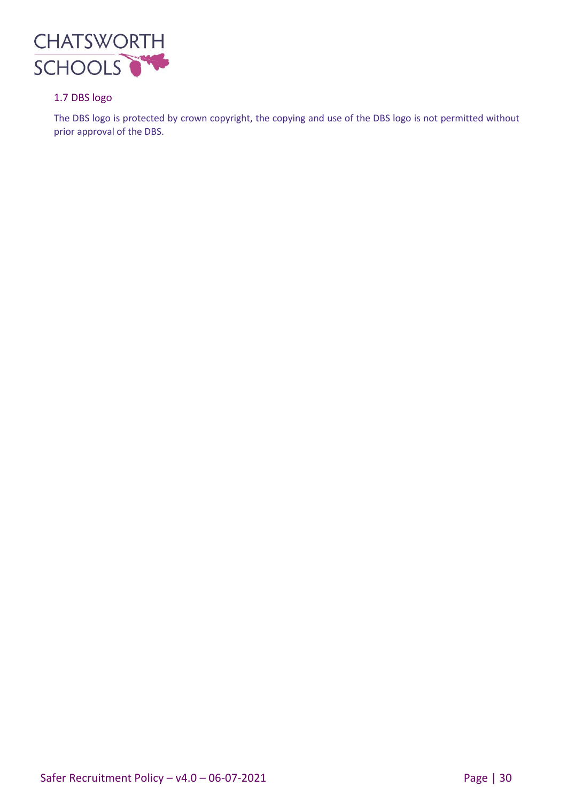

# 1.7 DBS logo

The DBS logo is protected by crown copyright, the copying and use of the DBS logo is not permitted without prior approval of the DBS.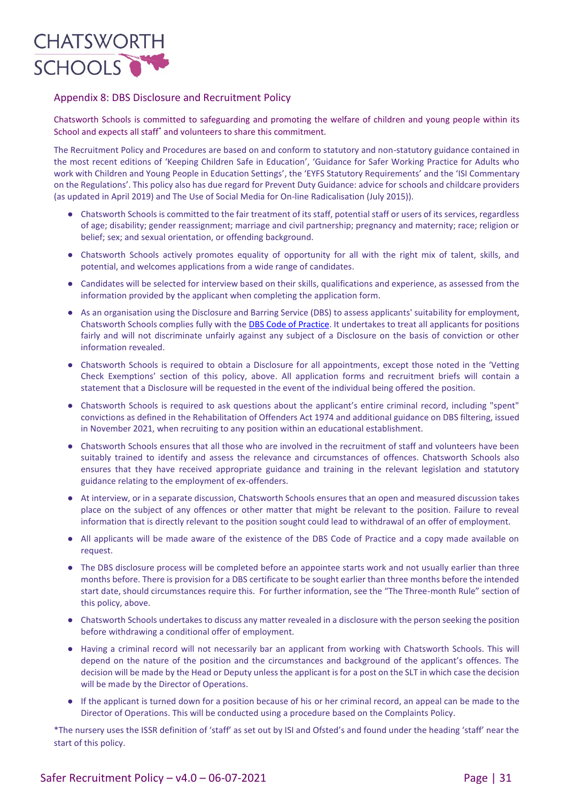

### Appendix 8: DBS Disclosure and Recruitment Policy

Chatsworth Schools is committed to safeguarding and promoting the welfare of children and young people within its School and expects all staff\* and volunteers to share this commitment.

The Recruitment Policy and Procedures are based on and conform to statutory and non-statutory guidance contained in the most recent editions of 'Keeping Children Safe in Education', 'Guidance for Safer Working Practice for Adults who work with Children and Young People in Education Settings', the 'EYFS Statutory Requirements' and the 'ISI Commentary on the Regulations'. This policy also has due regard for Prevent Duty Guidance: advice for schools and childcare providers (as updated in April 2019) and The Use of Social Media for On-line Radicalisation (July 2015)).

- Chatsworth Schools is committed to the fair treatment of its staff, potential staff or users of its services, regardless of age; disability; gender reassignment; marriage and civil partnership; pregnancy and maternity; race; religion or belief; sex; and sexual orientation, or offending background.
- Chatsworth Schools actively promotes equality of opportunity for all with the right mix of talent, skills, and potential, and welcomes applications from a wide range of candidates.
- Candidates will be selected for interview based on their skills, qualifications and experience, as assessed from the information provided by the applicant when completing the application form.
- As an organisation using the Disclosure and Barring Service (DBS) to assess applicants' suitability for employment, Chatsworth Schools complies fully with the **DBS Code of Practice**. It undertakes to treat all applicants for positions fairly and will not discriminate unfairly against any subject of a Disclosure on the basis of conviction or other information revealed.
- Chatsworth Schools is required to obtain a Disclosure for all appointments, except those noted in the 'Vetting Check Exemptions' section of this policy, above. All application forms and recruitment briefs will contain a statement that a Disclosure will be requested in the event of the individual being offered the position.
- Chatsworth Schools is required to ask questions about the applicant's entire criminal record, including "spent" convictions as defined in the Rehabilitation of Offenders Act 1974 and additional guidance on DBS filtering, issued in November 2021, when recruiting to any position within an educational establishment.
- Chatsworth Schools ensures that all those who are involved in the recruitment of staff and volunteers have been suitably trained to identify and assess the relevance and circumstances of offences. Chatsworth Schools also ensures that they have received appropriate guidance and training in the relevant legislation and statutory guidance relating to the employment of ex-offenders.
- At interview, or in a separate discussion, Chatsworth Schools ensures that an open and measured discussion takes place on the subject of any offences or other matter that might be relevant to the position. Failure to reveal information that is directly relevant to the position sought could lead to withdrawal of an offer of employment.
- All applicants will be made aware of the existence of the DBS Code of Practice and a copy made available on request.
- The DBS disclosure process will be completed before an appointee starts work and not usually earlier than three months before. There is provision for a DBS certificate to be sought earlier than three months before the intended start date, should circumstances require this. For further information, see the "The Three-month Rule" section of this policy, above.
- Chatsworth Schools undertakes to discuss any matter revealed in a disclosure with the person seeking the position before withdrawing a conditional offer of employment.
- Having a criminal record will not necessarily bar an applicant from working with Chatsworth Schools. This will depend on the nature of the position and the circumstances and background of the applicant's offences. The decision will be made by the Head or Deputy unless the applicant is for a post on the SLT in which case the decision will be made by the Director of Operations.
- If the applicant is turned down for a position because of his or her criminal record, an appeal can be made to the Director of Operations. This will be conducted using a procedure based on the Complaints Policy.

\*The nursery uses the ISSR definition of 'staff' as set out by ISI and Ofsted's and found under the heading 'staff' near the start of this policy.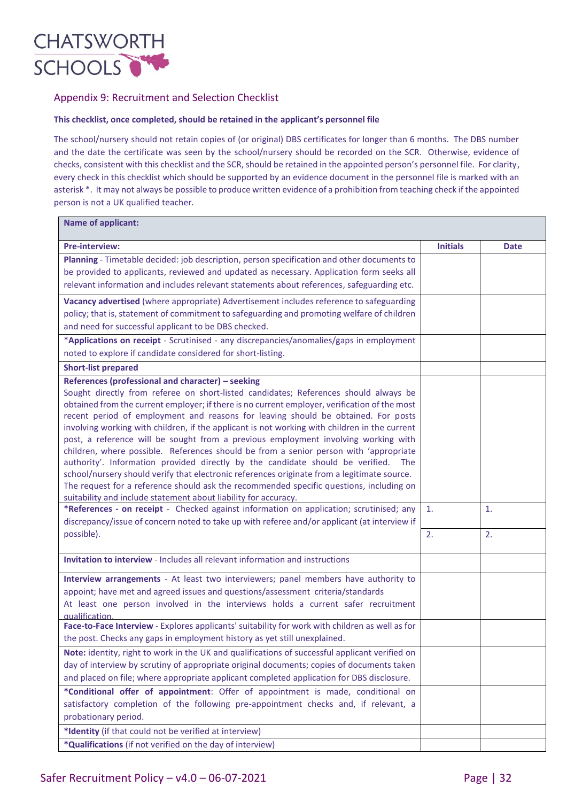

### Appendix 9: Recruitment and Selection Checklist

#### **This checklist, once completed, should be retained in the applicant's personnel file**

The school/nursery should not retain copies of (or original) DBS certificates for longer than 6 months. The DBS number and the date the certificate was seen by the school/nursery should be recorded on the SCR. Otherwise, evidence of checks, consistent with this checklist and the SCR, should be retained in the appointed person's personnel file. For clarity, every check in this checklist which should be supported by an evidence document in the personnel file is marked with an asterisk \*. It may not always be possible to produce written evidence of a prohibition from teaching check if the appointed person is not a UK qualified teacher.

| <b>Pre-interview:</b>                                                                                                                                                              | <b>Initials</b> | <b>Date</b> |
|------------------------------------------------------------------------------------------------------------------------------------------------------------------------------------|-----------------|-------------|
| Planning - Timetable decided: job description, person specification and other documents to                                                                                         |                 |             |
| be provided to applicants, reviewed and updated as necessary. Application form seeks all                                                                                           |                 |             |
| relevant information and includes relevant statements about references, safeguarding etc.                                                                                          |                 |             |
| Vacancy advertised (where appropriate) Advertisement includes reference to safeguarding                                                                                            |                 |             |
| policy; that is, statement of commitment to safeguarding and promoting welfare of children                                                                                         |                 |             |
| and need for successful applicant to be DBS checked.                                                                                                                               |                 |             |
| *Applications on receipt - Scrutinised - any discrepancies/anomalies/gaps in employment                                                                                            |                 |             |
| noted to explore if candidate considered for short-listing.                                                                                                                        |                 |             |
| <b>Short-list prepared</b>                                                                                                                                                         |                 |             |
| References (professional and character) - seeking                                                                                                                                  |                 |             |
| Sought directly from referee on short-listed candidates; References should always be                                                                                               |                 |             |
| obtained from the current employer; if there is no current employer, verification of the most                                                                                      |                 |             |
| recent period of employment and reasons for leaving should be obtained. For posts<br>involving working with children, if the applicant is not working with children in the current |                 |             |
| post, a reference will be sought from a previous employment involving working with                                                                                                 |                 |             |
| children, where possible. References should be from a senior person with 'appropriate                                                                                              |                 |             |
| authority'. Information provided directly by the candidate should be verified.<br><b>The</b>                                                                                       |                 |             |
| school/nursery should verify that electronic references originate from a legitimate source.                                                                                        |                 |             |
| The request for a reference should ask the recommended specific questions, including on                                                                                            |                 |             |
| suitability and include statement about liability for accuracy.                                                                                                                    |                 |             |
| *References - on receipt - Checked against information on application; scrutinised; any                                                                                            | $\mathbf{1}$ .  | 1.          |
| discrepancy/issue of concern noted to take up with referee and/or applicant (at interview if                                                                                       |                 |             |
| possible).                                                                                                                                                                         | 2.              | 2.          |
| <b>Invitation to interview - Includes all relevant information and instructions</b>                                                                                                |                 |             |
| Interview arrangements - At least two interviewers; panel members have authority to                                                                                                |                 |             |
| appoint; have met and agreed issues and questions/assessment criteria/standards                                                                                                    |                 |             |
| At least one person involved in the interviews holds a current safer recruitment<br>qualification.                                                                                 |                 |             |
| Face-to-Face Interview - Explores applicants' suitability for work with children as well as for                                                                                    |                 |             |
| the post. Checks any gaps in employment history as yet still unexplained.                                                                                                          |                 |             |
| Note: identity, right to work in the UK and qualifications of successful applicant verified on                                                                                     |                 |             |
| day of interview by scrutiny of appropriate original documents; copies of documents taken                                                                                          |                 |             |
| and placed on file; where appropriate applicant completed application for DBS disclosure.                                                                                          |                 |             |
| *Conditional offer of appointment: Offer of appointment is made, conditional on                                                                                                    |                 |             |
| satisfactory completion of the following pre-appointment checks and, if relevant, a                                                                                                |                 |             |
| probationary period.                                                                                                                                                               |                 |             |
| *Identity (if that could not be verified at interview)                                                                                                                             |                 |             |
| *Qualifications (if not verified on the day of interview)                                                                                                                          |                 |             |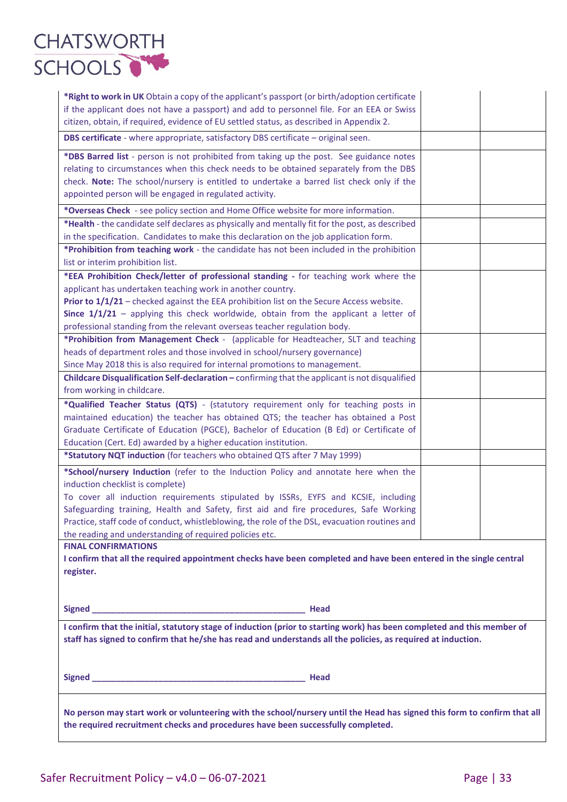

| *Right to work in UK Obtain a copy of the applicant's passport (or birth/adoption certificate<br>if the applicant does not have a passport) and add to personnel file. For an EEA or Swiss<br>citizen, obtain, if required, evidence of EU settled status, as described in Appendix 2.                                                                                                                                                                                                                                                                                                                                                                                                                                                                                                                                                                                                                                                                                                                                                                                             |  |  |
|------------------------------------------------------------------------------------------------------------------------------------------------------------------------------------------------------------------------------------------------------------------------------------------------------------------------------------------------------------------------------------------------------------------------------------------------------------------------------------------------------------------------------------------------------------------------------------------------------------------------------------------------------------------------------------------------------------------------------------------------------------------------------------------------------------------------------------------------------------------------------------------------------------------------------------------------------------------------------------------------------------------------------------------------------------------------------------|--|--|
| DBS certificate - where appropriate, satisfactory DBS certificate - original seen.                                                                                                                                                                                                                                                                                                                                                                                                                                                                                                                                                                                                                                                                                                                                                                                                                                                                                                                                                                                                 |  |  |
| *DBS Barred list - person is not prohibited from taking up the post. See guidance notes<br>relating to circumstances when this check needs to be obtained separately from the DBS<br>check. Note: The school/nursery is entitled to undertake a barred list check only if the<br>appointed person will be engaged in regulated activity.                                                                                                                                                                                                                                                                                                                                                                                                                                                                                                                                                                                                                                                                                                                                           |  |  |
| *Overseas Check - see policy section and Home Office website for more information.                                                                                                                                                                                                                                                                                                                                                                                                                                                                                                                                                                                                                                                                                                                                                                                                                                                                                                                                                                                                 |  |  |
| *Health - the candidate self declares as physically and mentally fit for the post, as described<br>in the specification. Candidates to make this declaration on the job application form.                                                                                                                                                                                                                                                                                                                                                                                                                                                                                                                                                                                                                                                                                                                                                                                                                                                                                          |  |  |
| *Prohibition from teaching work - the candidate has not been included in the prohibition<br>list or interim prohibition list.                                                                                                                                                                                                                                                                                                                                                                                                                                                                                                                                                                                                                                                                                                                                                                                                                                                                                                                                                      |  |  |
| *EEA Prohibition Check/letter of professional standing - for teaching work where the<br>applicant has undertaken teaching work in another country.<br>Prior to 1/1/21 - checked against the EEA prohibition list on the Secure Access website.<br>Since $1/1/21$ – applying this check worldwide, obtain from the applicant a letter of<br>professional standing from the relevant overseas teacher regulation body.<br>*Prohibition from Management Check - (applicable for Headteacher, SLT and teaching<br>heads of department roles and those involved in school/nursery governance)<br>Since May 2018 this is also required for internal promotions to management.<br>Childcare Disqualification Self-declaration - confirming that the applicant is not disqualified<br>from working in childcare.<br>*Qualified Teacher Status (QTS) - (statutory requirement only for teaching posts in<br>maintained education) the teacher has obtained QTS; the teacher has obtained a Post<br>Graduate Certificate of Education (PGCE), Bachelor of Education (B Ed) or Certificate of |  |  |
| Education (Cert. Ed) awarded by a higher education institution.<br>*Statutory NQT induction (for teachers who obtained QTS after 7 May 1999)                                                                                                                                                                                                                                                                                                                                                                                                                                                                                                                                                                                                                                                                                                                                                                                                                                                                                                                                       |  |  |
| *School/nursery Induction (refer to the Induction Policy and annotate here when the<br>induction checklist is complete)<br>To cover all induction requirements stipulated by ISSRs, EYFS and KCSIE, including<br>Safeguarding training, Health and Safety, first aid and fire procedures, Safe Working<br>Practice, staff code of conduct, whistleblowing, the role of the DSL, evacuation routines and<br>the reading and understanding of required policies etc.                                                                                                                                                                                                                                                                                                                                                                                                                                                                                                                                                                                                                 |  |  |
| <b>FINAL CONFIRMATIONS</b>                                                                                                                                                                                                                                                                                                                                                                                                                                                                                                                                                                                                                                                                                                                                                                                                                                                                                                                                                                                                                                                         |  |  |
| I confirm that all the required appointment checks have been completed and have been entered in the single central<br>register.                                                                                                                                                                                                                                                                                                                                                                                                                                                                                                                                                                                                                                                                                                                                                                                                                                                                                                                                                    |  |  |
|                                                                                                                                                                                                                                                                                                                                                                                                                                                                                                                                                                                                                                                                                                                                                                                                                                                                                                                                                                                                                                                                                    |  |  |
| I confirm that the initial, statutory stage of induction (prior to starting work) has been completed and this member of<br>staff has signed to confirm that he/she has read and understands all the policies, as required at induction.                                                                                                                                                                                                                                                                                                                                                                                                                                                                                                                                                                                                                                                                                                                                                                                                                                            |  |  |
|                                                                                                                                                                                                                                                                                                                                                                                                                                                                                                                                                                                                                                                                                                                                                                                                                                                                                                                                                                                                                                                                                    |  |  |
| No person may start work or volunteering with the school/nursery until the Head has signed this form to confirm that all<br>the required recruitment checks and procedures have been successfully completed.                                                                                                                                                                                                                                                                                                                                                                                                                                                                                                                                                                                                                                                                                                                                                                                                                                                                       |  |  |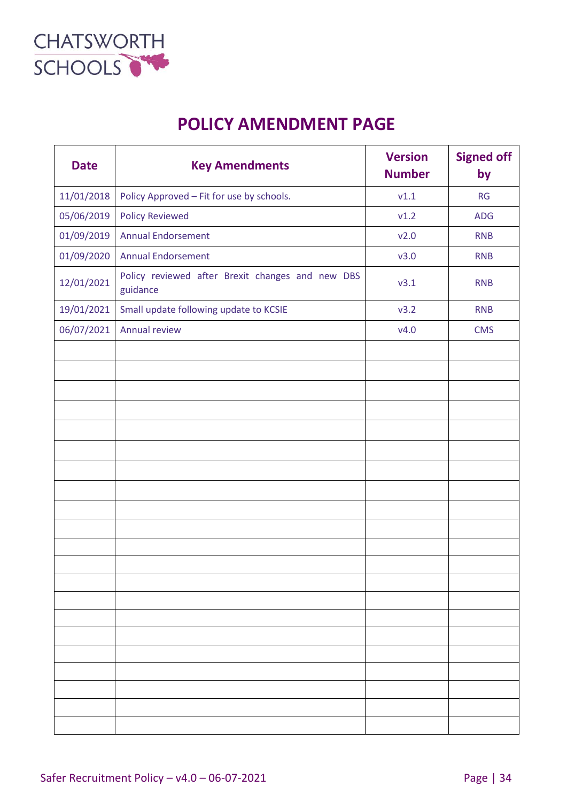

# **POLICY AMENDMENT PAGE**

| <b>Date</b> | <b>Key Amendments</b>                                        | <b>Version</b><br><b>Number</b> | <b>Signed off</b><br>by |
|-------------|--------------------------------------------------------------|---------------------------------|-------------------------|
| 11/01/2018  | Policy Approved - Fit for use by schools.                    | v1.1                            | <b>RG</b>               |
| 05/06/2019  | <b>Policy Reviewed</b>                                       | v1.2                            | <b>ADG</b>              |
| 01/09/2019  | <b>Annual Endorsement</b>                                    | v2.0                            | <b>RNB</b>              |
| 01/09/2020  | <b>Annual Endorsement</b>                                    | v3.0                            | <b>RNB</b>              |
| 12/01/2021  | Policy reviewed after Brexit changes and new DBS<br>guidance | v3.1                            | <b>RNB</b>              |
| 19/01/2021  | Small update following update to KCSIE                       | v3.2                            | <b>RNB</b>              |
| 06/07/2021  | Annual review                                                | V4.0                            | <b>CMS</b>              |
|             |                                                              |                                 |                         |
|             |                                                              |                                 |                         |
|             |                                                              |                                 |                         |
|             |                                                              |                                 |                         |
|             |                                                              |                                 |                         |
|             |                                                              |                                 |                         |
|             |                                                              |                                 |                         |
|             |                                                              |                                 |                         |
|             |                                                              |                                 |                         |
|             |                                                              |                                 |                         |
|             |                                                              |                                 |                         |
|             |                                                              |                                 |                         |
|             |                                                              |                                 |                         |
|             |                                                              |                                 |                         |
|             |                                                              |                                 |                         |
|             |                                                              |                                 |                         |
|             |                                                              |                                 |                         |
|             |                                                              |                                 |                         |
|             |                                                              |                                 |                         |
|             |                                                              |                                 |                         |